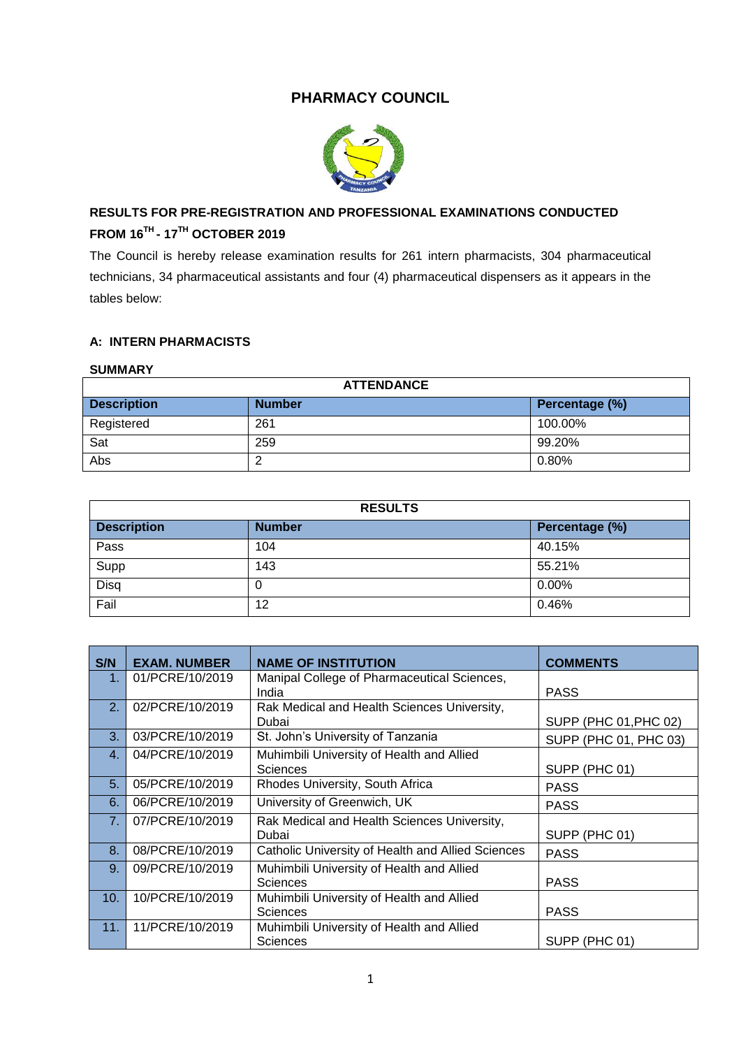## **PHARMACY COUNCIL**



# **RESULTS FOR PRE-REGISTRATION AND PROFESSIONAL EXAMINATIONS CONDUCTED FROM 16TH - 17TH OCTOBER 2019**

The Council is hereby release examination results for 261 intern pharmacists, 304 pharmaceutical technicians, 34 pharmaceutical assistants and four (4) pharmaceutical dispensers as it appears in the tables below:

## **A: INTERN PHARMACISTS**

#### **SUMMARY**

| <b>ATTENDANCE</b>  |               |                |
|--------------------|---------------|----------------|
| <b>Description</b> | <b>Number</b> | Percentage (%) |
| Registered         | 261           | 100.00%        |
| Sat                | 259           | 99.20%         |
| Abs                |               | 0.80%          |

| <b>RESULTS</b>     |               |                |
|--------------------|---------------|----------------|
| <b>Description</b> | <b>Number</b> | Percentage (%) |
| Pass               | 104           | 40.15%         |
| Supp               | 143           | 55.21%         |
| Disq               | U             | $0.00\%$       |
| Fail               | 12            | 0.46%          |

| S/N            | <b>EXAM. NUMBER</b> | <b>NAME OF INSTITUTION</b>                                   | <b>COMMENTS</b>       |
|----------------|---------------------|--------------------------------------------------------------|-----------------------|
| 1.             | 01/PCRE/10/2019     | Manipal College of Pharmaceutical Sciences,<br>India         | <b>PASS</b>           |
| 2.             | 02/PCRE/10/2019     | Rak Medical and Health Sciences University,<br>Dubai         | SUPP (PHC 01, PHC 02) |
| 3.             | 03/PCRE/10/2019     | St. John's University of Tanzania                            | SUPP (PHC 01, PHC 03) |
| 4.             | 04/PCRE/10/2019     | Muhimbili University of Health and Allied<br>Sciences        | SUPP (PHC 01)         |
| 5.             | 05/PCRE/10/2019     | Rhodes University, South Africa                              | <b>PASS</b>           |
| 6.             | 06/PCRE/10/2019     | University of Greenwich, UK                                  | <b>PASS</b>           |
| 7 <sub>1</sub> | 07/PCRE/10/2019     | Rak Medical and Health Sciences University,<br>Dubai         | SUPP (PHC 01)         |
| 8.             | 08/PCRE/10/2019     | Catholic University of Health and Allied Sciences            | <b>PASS</b>           |
| 9.             | 09/PCRE/10/2019     | Muhimbili University of Health and Allied<br><b>Sciences</b> | <b>PASS</b>           |
| 10.            | 10/PCRE/10/2019     | Muhimbili University of Health and Allied<br><b>Sciences</b> | <b>PASS</b>           |
| 11.            | 11/PCRE/10/2019     | Muhimbili University of Health and Allied<br><b>Sciences</b> | SUPP (PHC 01)         |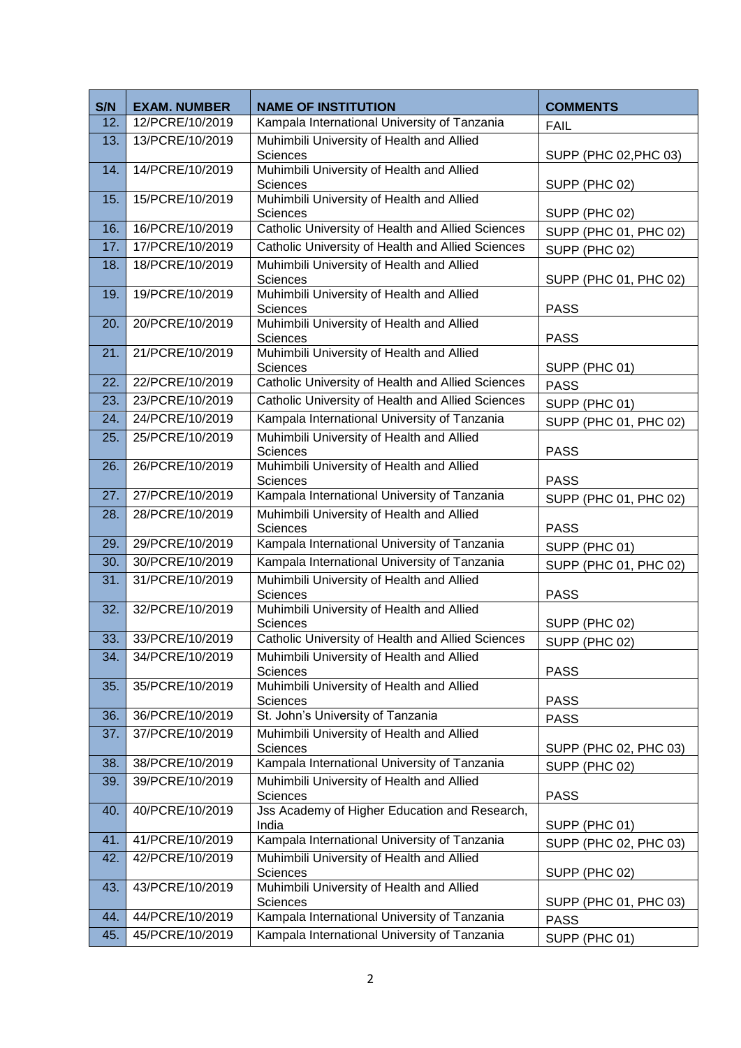| S/N | <b>EXAM. NUMBER</b> | <b>NAME OF INSTITUTION</b>                                                     | <b>COMMENTS</b>       |  |  |
|-----|---------------------|--------------------------------------------------------------------------------|-----------------------|--|--|
| 12. | 12/PCRE/10/2019     | Kampala International University of Tanzania                                   | <b>FAIL</b>           |  |  |
| 13. | 13/PCRE/10/2019     | Muhimbili University of Health and Allied<br>Sciences                          | SUPP (PHC 02, PHC 03) |  |  |
| 14. | 14/PCRE/10/2019     | Muhimbili University of Health and Allied<br>Sciences<br>SUPP (PHC 02)         |                       |  |  |
| 15. | 15/PCRE/10/2019     | Muhimbili University of Health and Allied<br>Sciences                          | SUPP (PHC 02)         |  |  |
| 16. | 16/PCRE/10/2019     | Catholic University of Health and Allied Sciences                              | SUPP (PHC 01, PHC 02) |  |  |
| 17. | 17/PCRE/10/2019     | Catholic University of Health and Allied Sciences                              | SUPP (PHC 02)         |  |  |
| 18. | 18/PCRE/10/2019     | Muhimbili University of Health and Allied<br>Sciences                          | SUPP (PHC 01, PHC 02) |  |  |
| 19. | 19/PCRE/10/2019     | Muhimbili University of Health and Allied<br>Sciences                          | <b>PASS</b>           |  |  |
| 20. | 20/PCRE/10/2019     | Muhimbili University of Health and Allied<br>Sciences                          | <b>PASS</b>           |  |  |
| 21. | 21/PCRE/10/2019     | Muhimbili University of Health and Allied<br>Sciences                          | SUPP (PHC 01)         |  |  |
| 22. | 22/PCRE/10/2019     | Catholic University of Health and Allied Sciences                              | <b>PASS</b>           |  |  |
| 23. | 23/PCRE/10/2019     | Catholic University of Health and Allied Sciences                              | SUPP (PHC 01)         |  |  |
| 24. | 24/PCRE/10/2019     | Kampala International University of Tanzania                                   | SUPP (PHC 01, PHC 02) |  |  |
| 25. | 25/PCRE/10/2019     | Muhimbili University of Health and Allied<br><b>Sciences</b>                   | <b>PASS</b>           |  |  |
| 26. | 26/PCRE/10/2019     | Muhimbili University of Health and Allied<br>Sciences                          | <b>PASS</b>           |  |  |
| 27. | 27/PCRE/10/2019     | Kampala International University of Tanzania                                   | SUPP (PHC 01, PHC 02) |  |  |
| 28. | 28/PCRE/10/2019     | Muhimbili University of Health and Allied<br>Sciences                          | <b>PASS</b>           |  |  |
| 29. | 29/PCRE/10/2019     | Kampala International University of Tanzania                                   | SUPP (PHC 01)         |  |  |
| 30. | 30/PCRE/10/2019     | Kampala International University of Tanzania                                   | SUPP (PHC 01, PHC 02) |  |  |
| 31. | 31/PCRE/10/2019     | Muhimbili University of Health and Allied<br><b>Sciences</b>                   | <b>PASS</b>           |  |  |
| 32. | 32/PCRE/10/2019     | Muhimbili University of Health and Allied<br><b>Sciences</b>                   | SUPP (PHC 02)         |  |  |
| 33. | 33/PCRE/10/2019     | Catholic University of Health and Allied Sciences                              | SUPP (PHC 02)         |  |  |
| 34. | 34/PCRE/10/2019     | Muhimbili University of Health and Allied<br>Sciences                          | <b>PASS</b>           |  |  |
| 35. | 35/PCRE/10/2019     | Muhimbili University of Health and Allied<br>Sciences                          | <b>PASS</b>           |  |  |
| 36. | 36/PCRE/10/2019     | St. John's University of Tanzania                                              | <b>PASS</b>           |  |  |
| 37. | 37/PCRE/10/2019     | Muhimbili University of Health and Allied<br>Sciences<br>SUPP (PHC 02, PHC 03) |                       |  |  |
| 38. | 38/PCRE/10/2019     | Kampala International University of Tanzania                                   | SUPP (PHC 02)         |  |  |
| 39. | 39/PCRE/10/2019     | Muhimbili University of Health and Allied<br><b>Sciences</b>                   | <b>PASS</b>           |  |  |
| 40. | 40/PCRE/10/2019     | Jss Academy of Higher Education and Research,<br>India<br>SUPP (PHC 01)        |                       |  |  |
| 41. | 41/PCRE/10/2019     | Kampala International University of Tanzania                                   | SUPP (PHC 02, PHC 03) |  |  |
| 42. | 42/PCRE/10/2019     | Muhimbili University of Health and Allied<br>Sciences                          | SUPP (PHC 02)         |  |  |
| 43. | 43/PCRE/10/2019     | Muhimbili University of Health and Allied<br><b>Sciences</b>                   | SUPP (PHC 01, PHC 03) |  |  |
| 44. | 44/PCRE/10/2019     | Kampala International University of Tanzania                                   | <b>PASS</b>           |  |  |
| 45. | 45/PCRE/10/2019     | Kampala International University of Tanzania<br>SUPP (PHC 01)                  |                       |  |  |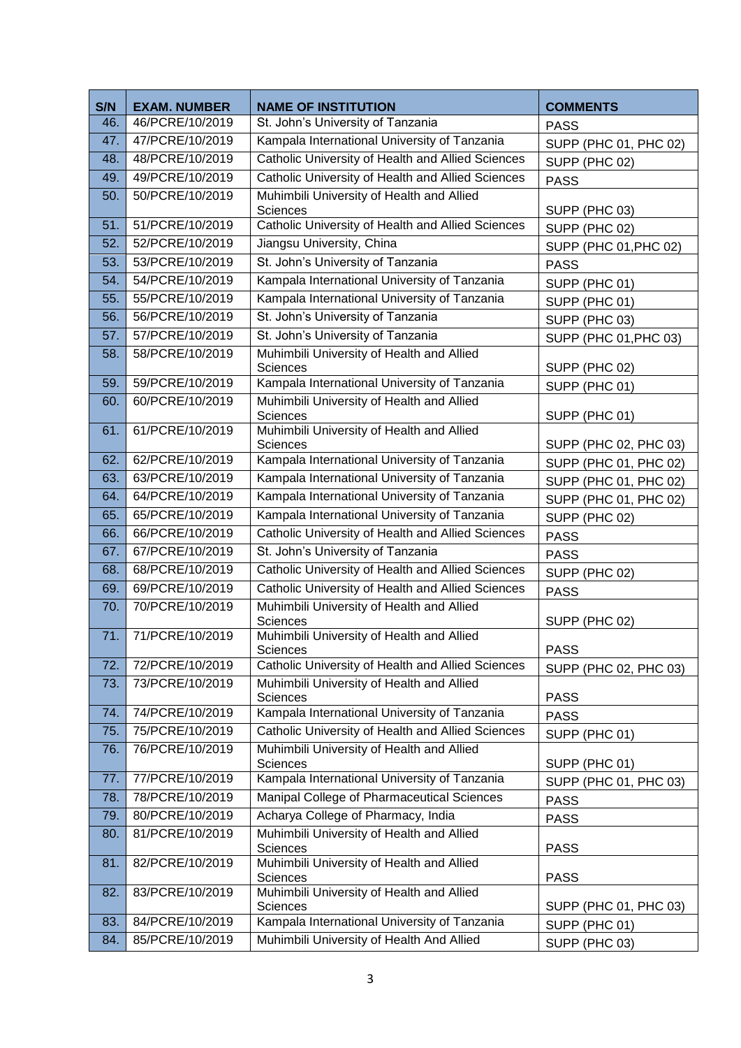| S/N        | <b>EXAM. NUMBER</b>                | <b>NAME OF INSTITUTION</b>                                                                   | <b>COMMENTS</b>                      |  |  |
|------------|------------------------------------|----------------------------------------------------------------------------------------------|--------------------------------------|--|--|
| 46.        | 46/PCRE/10/2019                    | St. John's University of Tanzania                                                            | <b>PASS</b>                          |  |  |
| 47.        | 47/PCRE/10/2019                    | Kampala International University of Tanzania                                                 | SUPP (PHC 01, PHC 02)                |  |  |
| 48.        | 48/PCRE/10/2019                    | Catholic University of Health and Allied Sciences<br>SUPP (PHC 02)                           |                                      |  |  |
| 49.        | 49/PCRE/10/2019                    | Catholic University of Health and Allied Sciences                                            | <b>PASS</b>                          |  |  |
| 50.        | 50/PCRE/10/2019                    | Muhimbili University of Health and Allied                                                    |                                      |  |  |
| 51.        | 51/PCRE/10/2019                    | Sciences<br>Catholic University of Health and Allied Sciences                                | SUPP (PHC 03)                        |  |  |
| 52.        | 52/PCRE/10/2019                    | Jiangsu University, China                                                                    | SUPP (PHC 02)                        |  |  |
| 53.        | 53/PCRE/10/2019                    | St. John's University of Tanzania                                                            | SUPP (PHC 01, PHC 02)<br><b>PASS</b> |  |  |
| 54.        | 54/PCRE/10/2019                    | Kampala International University of Tanzania                                                 | SUPP (PHC 01)                        |  |  |
| 55.        | 55/PCRE/10/2019                    | Kampala International University of Tanzania                                                 | SUPP (PHC 01)                        |  |  |
| 56.        | 56/PCRE/10/2019                    | St. John's University of Tanzania                                                            | SUPP (PHC 03)                        |  |  |
| 57.        | 57/PCRE/10/2019                    | St. John's University of Tanzania                                                            | SUPP (PHC 01, PHC 03)                |  |  |
| 58.        | 58/PCRE/10/2019                    | Muhimbili University of Health and Allied                                                    |                                      |  |  |
|            |                                    | Sciences                                                                                     | SUPP (PHC 02)                        |  |  |
| 59.<br>60. | 59/PCRE/10/2019<br>60/PCRE/10/2019 | Kampala International University of Tanzania<br>Muhimbili University of Health and Allied    | SUPP (PHC 01)                        |  |  |
|            |                                    | Sciences                                                                                     | SUPP (PHC 01)                        |  |  |
| 61.        | 61/PCRE/10/2019                    | Muhimbili University of Health and Allied                                                    |                                      |  |  |
|            |                                    | Sciences                                                                                     | SUPP (PHC 02, PHC 03)                |  |  |
| 62.        | 62/PCRE/10/2019                    | Kampala International University of Tanzania                                                 | SUPP (PHC 01, PHC 02)                |  |  |
| 63.<br>64. | 63/PCRE/10/2019<br>64/PCRE/10/2019 | Kampala International University of Tanzania<br>Kampala International University of Tanzania | SUPP (PHC 01, PHC 02)                |  |  |
| 65.        | 65/PCRE/10/2019                    | Kampala International University of Tanzania                                                 | SUPP (PHC 01, PHC 02)                |  |  |
| 66.        | 66/PCRE/10/2019                    | Catholic University of Health and Allied Sciences                                            | SUPP (PHC 02)                        |  |  |
| 67.        | 67/PCRE/10/2019                    | St. John's University of Tanzania                                                            | <b>PASS</b>                          |  |  |
| 68.        | 68/PCRE/10/2019                    | Catholic University of Health and Allied Sciences                                            | <b>PASS</b>                          |  |  |
| 69.        | 69/PCRE/10/2019                    | Catholic University of Health and Allied Sciences                                            | SUPP (PHC 02)                        |  |  |
| 70.        | 70/PCRE/10/2019                    | Muhimbili University of Health and Allied                                                    | <b>PASS</b>                          |  |  |
|            |                                    | Sciences                                                                                     | SUPP (PHC 02)                        |  |  |
| 71.        | 71/PCRE/10/2019                    | Muhimbili University of Health and Allied                                                    |                                      |  |  |
| 72.        | 72/PCRE/10/2019                    | Sciences<br>Catholic University of Health and Allied Sciences                                | <b>PASS</b>                          |  |  |
| 73.        | 73/PCRE/10/2019                    | Muhimbili University of Health and Allied                                                    | SUPP (PHC 02, PHC 03)                |  |  |
|            |                                    | Sciences                                                                                     | <b>PASS</b>                          |  |  |
| 74.        | 74/PCRE/10/2019                    | Kampala International University of Tanzania                                                 | <b>PASS</b>                          |  |  |
| 75.        | 75/PCRE/10/2019                    | Catholic University of Health and Allied Sciences                                            | SUPP (PHC 01)                        |  |  |
| 76.        | 76/PCRE/10/2019                    | Muhimbili University of Health and Allied                                                    |                                      |  |  |
| 77.        | 77/PCRE/10/2019                    | Sciences<br>SUPP (PHC 01)<br>Kampala International University of Tanzania                    |                                      |  |  |
| 78.        | 78/PCRE/10/2019                    | Manipal College of Pharmaceutical Sciences                                                   | SUPP (PHC 01, PHC 03)<br><b>PASS</b> |  |  |
| 79.        | 80/PCRE/10/2019                    | Acharya College of Pharmacy, India                                                           | <b>PASS</b>                          |  |  |
| 80.        | 81/PCRE/10/2019                    | Muhimbili University of Health and Allied                                                    |                                      |  |  |
|            |                                    | Sciences                                                                                     | <b>PASS</b>                          |  |  |
| 81.        | 82/PCRE/10/2019                    | Muhimbili University of Health and Allied<br>Sciences                                        | <b>PASS</b>                          |  |  |
| 82.        | 83/PCRE/10/2019                    | Muhimbili University of Health and Allied                                                    |                                      |  |  |
|            |                                    | Sciences                                                                                     | SUPP (PHC 01, PHC 03)                |  |  |
| 83.        | 84/PCRE/10/2019                    | Kampala International University of Tanzania                                                 | SUPP (PHC 01)                        |  |  |
| 84.        | 85/PCRE/10/2019                    | Muhimbili University of Health And Allied<br>SUPP (PHC 03)                                   |                                      |  |  |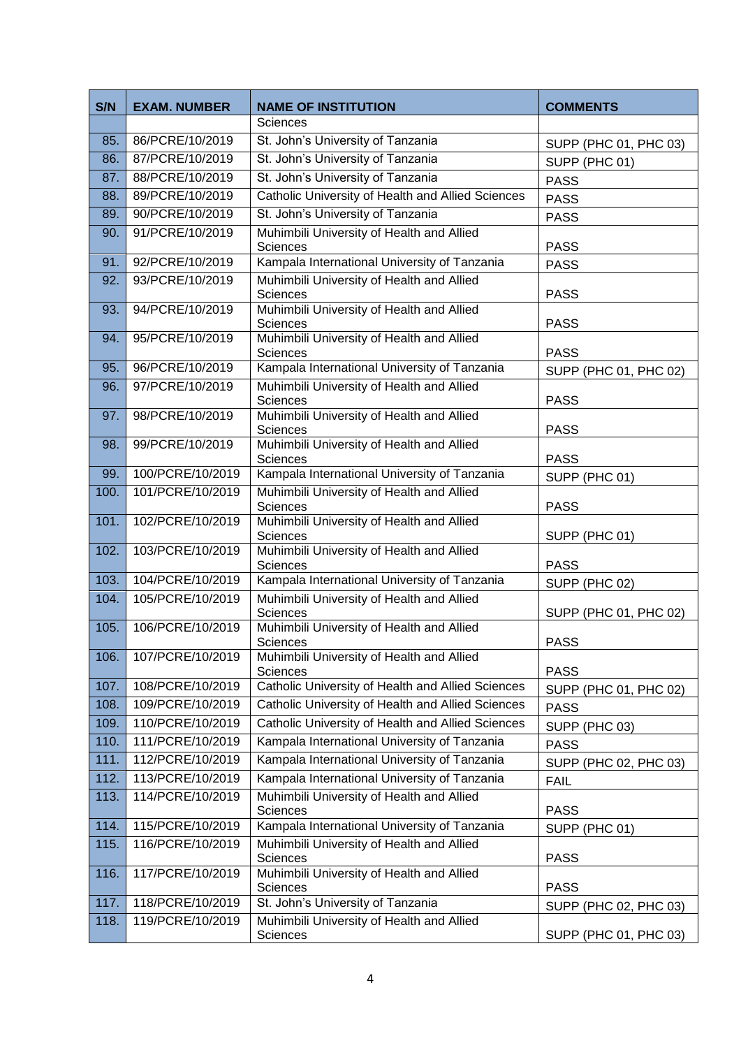| S/N  | <b>EXAM. NUMBER</b> | <b>NAME OF INSTITUTION</b>                                   | <b>COMMENTS</b>       |
|------|---------------------|--------------------------------------------------------------|-----------------------|
|      |                     | Sciences                                                     |                       |
| 85.  | 86/PCRE/10/2019     | St. John's University of Tanzania                            | SUPP (PHC 01, PHC 03) |
| 86.  | 87/PCRE/10/2019     | St. John's University of Tanzania                            | SUPP (PHC 01)         |
| 87.  | 88/PCRE/10/2019     | St. John's University of Tanzania                            | <b>PASS</b>           |
| 88.  | 89/PCRE/10/2019     | Catholic University of Health and Allied Sciences            | <b>PASS</b>           |
| 89.  | 90/PCRE/10/2019     | St. John's University of Tanzania                            | <b>PASS</b>           |
| 90.  | 91/PCRE/10/2019     | Muhimbili University of Health and Allied                    |                       |
|      |                     | Sciences                                                     | <b>PASS</b>           |
| 91.  | 92/PCRE/10/2019     | Kampala International University of Tanzania                 | <b>PASS</b>           |
| 92.  | 93/PCRE/10/2019     | Muhimbili University of Health and Allied<br>Sciences        | <b>PASS</b>           |
| 93.  | 94/PCRE/10/2019     | Muhimbili University of Health and Allied                    |                       |
|      |                     | Sciences                                                     | <b>PASS</b>           |
| 94.  | 95/PCRE/10/2019     | Muhimbili University of Health and Allied                    |                       |
|      | 96/PCRE/10/2019     | Sciences<br>Kampala International University of Tanzania     | <b>PASS</b>           |
| 95.  |                     | Muhimbili University of Health and Allied                    | SUPP (PHC 01, PHC 02) |
| 96.  | 97/PCRE/10/2019     | Sciences                                                     | <b>PASS</b>           |
| 97.  | 98/PCRE/10/2019     | Muhimbili University of Health and Allied                    |                       |
|      |                     | Sciences                                                     | <b>PASS</b>           |
| 98.  | 99/PCRE/10/2019     | Muhimbili University of Health and Allied<br><b>Sciences</b> | <b>PASS</b>           |
| 99.  | 100/PCRE/10/2019    | Kampala International University of Tanzania                 | SUPP (PHC 01)         |
| 100. | 101/PCRE/10/2019    | Muhimbili University of Health and Allied                    |                       |
|      |                     | Sciences                                                     | <b>PASS</b>           |
| 101. | 102/PCRE/10/2019    | Muhimbili University of Health and Allied                    |                       |
| 102. | 103/PCRE/10/2019    | Sciences                                                     | SUPP (PHC 01)         |
|      |                     | Muhimbili University of Health and Allied<br>Sciences        | <b>PASS</b>           |
| 103. | 104/PCRE/10/2019    | Kampala International University of Tanzania                 | SUPP (PHC 02)         |
| 104. | 105/PCRE/10/2019    | Muhimbili University of Health and Allied                    |                       |
|      |                     | Sciences                                                     | SUPP (PHC 01, PHC 02) |
| 105. | 106/PCRE/10/2019    | Muhimbili University of Health and Allied                    |                       |
| 106. | 107/PCRE/10/2019    | Sciences<br>Muhimbili University of Health and Allied        | <b>PASS</b>           |
|      |                     | Sciences                                                     | <b>PASS</b>           |
| 107. | 108/PCRE/10/2019    | Catholic University of Health and Allied Sciences            | SUPP (PHC 01, PHC 02) |
| 108. | 109/PCRE/10/2019    | Catholic University of Health and Allied Sciences            | <b>PASS</b>           |
| 109. | 110/PCRE/10/2019    | Catholic University of Health and Allied Sciences            | SUPP (PHC 03)         |
| 110. | 111/PCRE/10/2019    | Kampala International University of Tanzania                 | <b>PASS</b>           |
| 111. | 112/PCRE/10/2019    | Kampala International University of Tanzania                 | SUPP (PHC 02, PHC 03) |
| 112. | 113/PCRE/10/2019    | Kampala International University of Tanzania                 | <b>FAIL</b>           |
| 113. | 114/PCRE/10/2019    | Muhimbili University of Health and Allied                    |                       |
|      |                     | <b>Sciences</b>                                              | <b>PASS</b>           |
| 114. | 115/PCRE/10/2019    | Kampala International University of Tanzania                 | SUPP (PHC 01)         |
| 115. | 116/PCRE/10/2019    | Muhimbili University of Health and Allied<br>Sciences        | <b>PASS</b>           |
| 116. | 117/PCRE/10/2019    | Muhimbili University of Health and Allied                    |                       |
|      |                     | Sciences                                                     | <b>PASS</b>           |
| 117. | 118/PCRE/10/2019    | St. John's University of Tanzania                            | SUPP (PHC 02, PHC 03) |
| 118. | 119/PCRE/10/2019    | Muhimbili University of Health and Allied                    |                       |
|      |                     | Sciences                                                     | SUPP (PHC 01, PHC 03) |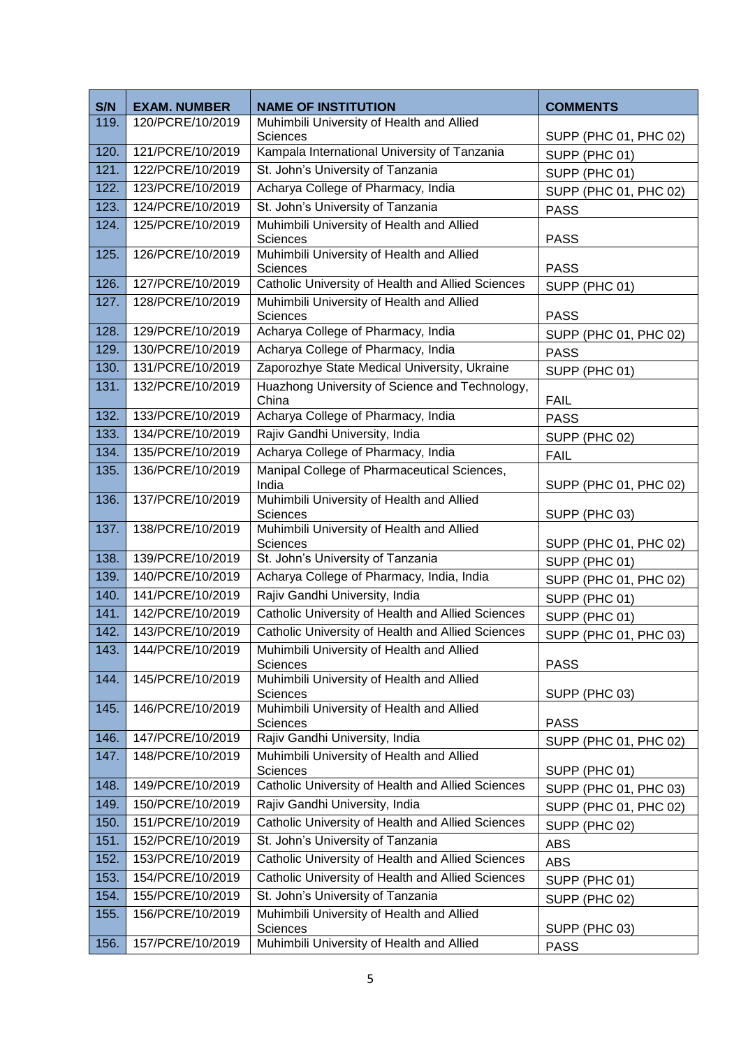| S/N  | <b>EXAM. NUMBER</b> | <b>NAME OF INSTITUTION</b>                                             | <b>COMMENTS</b>       |
|------|---------------------|------------------------------------------------------------------------|-----------------------|
| 119. | 120/PCRE/10/2019    | Muhimbili University of Health and Allied                              |                       |
| 120. | 121/PCRE/10/2019    | Sciences<br>Kampala International University of Tanzania               | SUPP (PHC 01, PHC 02) |
| 121. | 122/PCRE/10/2019    | St. John's University of Tanzania                                      | SUPP (PHC 01)         |
| 122. | 123/PCRE/10/2019    | Acharya College of Pharmacy, India                                     | SUPP (PHC 01)         |
| 123. | 124/PCRE/10/2019    | St. John's University of Tanzania                                      | SUPP (PHC 01, PHC 02) |
| 124. | 125/PCRE/10/2019    | Muhimbili University of Health and Allied                              | <b>PASS</b>           |
|      |                     | Sciences                                                               | <b>PASS</b>           |
| 125. | 126/PCRE/10/2019    | Muhimbili University of Health and Allied<br>Sciences                  | <b>PASS</b>           |
| 126. | 127/PCRE/10/2019    | Catholic University of Health and Allied Sciences                      | SUPP (PHC 01)         |
| 127. | 128/PCRE/10/2019    | Muhimbili University of Health and Allied                              |                       |
| 128. | 129/PCRE/10/2019    | Sciences<br>Acharya College of Pharmacy, India                         | <b>PASS</b>           |
| 129. | 130/PCRE/10/2019    | Acharya College of Pharmacy, India                                     | SUPP (PHC 01, PHC 02) |
| 130. | 131/PCRE/10/2019    | Zaporozhye State Medical University, Ukraine                           | <b>PASS</b>           |
| 131. | 132/PCRE/10/2019    | Huazhong University of Science and Technology,                         | SUPP (PHC 01)         |
|      |                     | China                                                                  | <b>FAIL</b>           |
| 132. | 133/PCRE/10/2019    | Acharya College of Pharmacy, India                                     | <b>PASS</b>           |
| 133. | 134/PCRE/10/2019    | Rajiv Gandhi University, India                                         | SUPP (PHC 02)         |
| 134. | 135/PCRE/10/2019    | Acharya College of Pharmacy, India                                     | <b>FAIL</b>           |
| 135. | 136/PCRE/10/2019    | Manipal College of Pharmaceutical Sciences,<br>India                   | SUPP (PHC 01, PHC 02) |
| 136. | 137/PCRE/10/2019    | Muhimbili University of Health and Allied<br>Sciences                  | SUPP (PHC 03)         |
| 137. | 138/PCRE/10/2019    | Muhimbili University of Health and Allied<br>Sciences                  | SUPP (PHC 01, PHC 02) |
| 138. | 139/PCRE/10/2019    | St. John's University of Tanzania                                      | SUPP (PHC 01)         |
| 139. | 140/PCRE/10/2019    | Acharya College of Pharmacy, India, India                              | SUPP (PHC 01, PHC 02) |
| 140. | 141/PCRE/10/2019    | Rajiv Gandhi University, India                                         | SUPP (PHC 01)         |
| 141. | 142/PCRE/10/2019    | Catholic University of Health and Allied Sciences                      | SUPP (PHC 01)         |
| 142. | 143/PCRE/10/2019    | Catholic University of Health and Allied Sciences                      | SUPP (PHC 01, PHC 03) |
| 143. | 144/PCRE/10/2019    | Muhimbili University of Health and Allied<br>Sciences                  | <b>PASS</b>           |
| 144. | 145/PCRE/10/2019    | Muhimbili University of Health and Allied<br><b>Sciences</b>           | SUPP (PHC 03)         |
| 145. | 146/PCRE/10/2019    | Muhimbili University of Health and Allied<br>Sciences                  | <b>PASS</b>           |
| 146. | 147/PCRE/10/2019    | Rajiv Gandhi University, India<br>SUPP (PHC 01, PHC 02)                |                       |
| 147. | 148/PCRE/10/2019    | Muhimbili University of Health and Allied<br>Sciences<br>SUPP (PHC 01) |                       |
| 148. | 149/PCRE/10/2019    | Catholic University of Health and Allied Sciences                      | SUPP (PHC 01, PHC 03) |
| 149. | 150/PCRE/10/2019    | Rajiv Gandhi University, India<br>SUPP (PHC 01, PHC 02)                |                       |
| 150. | 151/PCRE/10/2019    | Catholic University of Health and Allied Sciences<br>SUPP (PHC 02)     |                       |
| 151. | 152/PCRE/10/2019    | St. John's University of Tanzania                                      | <b>ABS</b>            |
| 152. | 153/PCRE/10/2019    | Catholic University of Health and Allied Sciences                      | <b>ABS</b>            |
| 153. | 154/PCRE/10/2019    | Catholic University of Health and Allied Sciences                      | SUPP (PHC 01)         |
| 154. | 155/PCRE/10/2019    | St. John's University of Tanzania                                      | SUPP (PHC 02)         |
| 155. | 156/PCRE/10/2019    | Muhimbili University of Health and Allied<br>Sciences                  | SUPP (PHC 03)         |
| 156. | 157/PCRE/10/2019    | Muhimbili University of Health and Allied                              | <b>PASS</b>           |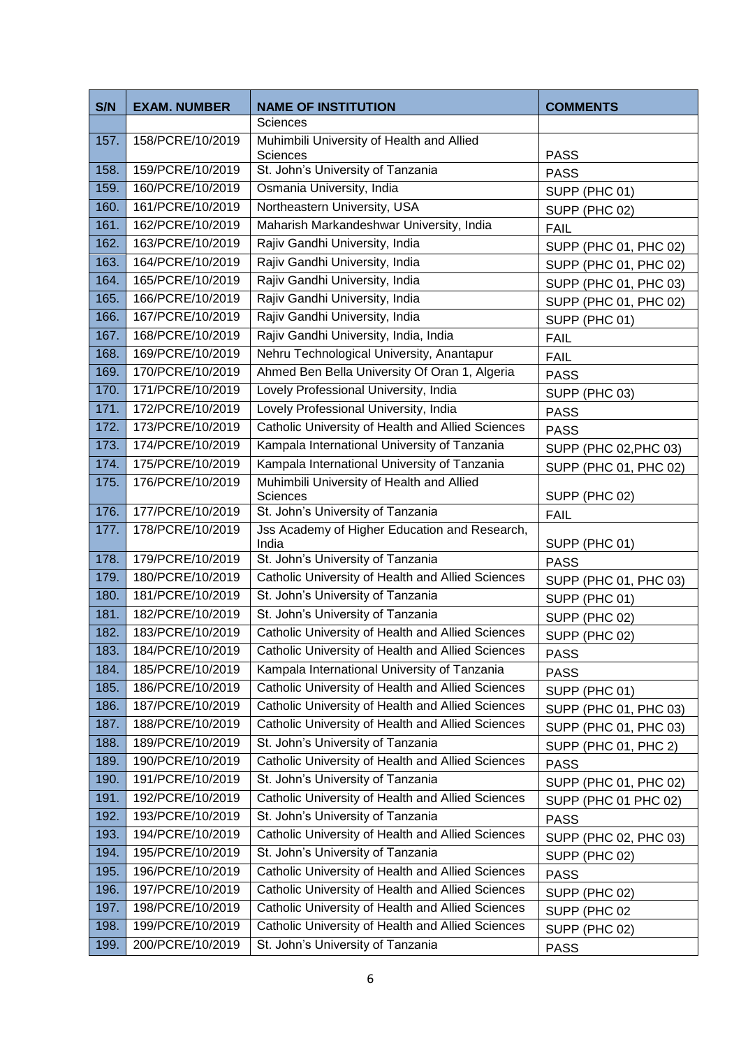| S/N  | <b>EXAM. NUMBER</b> | <b>NAME OF INSTITUTION</b>                            | <b>COMMENTS</b>              |
|------|---------------------|-------------------------------------------------------|------------------------------|
|      |                     | Sciences                                              |                              |
| 157. | 158/PCRE/10/2019    | Muhimbili University of Health and Allied<br>Sciences | <b>PASS</b>                  |
| 158. | 159/PCRE/10/2019    | St. John's University of Tanzania                     | <b>PASS</b>                  |
| 159. | 160/PCRE/10/2019    | Osmania University, India                             | SUPP (PHC 01)                |
| 160. | 161/PCRE/10/2019    | Northeastern University, USA                          | SUPP (PHC 02)                |
| 161. | 162/PCRE/10/2019    | Maharish Markandeshwar University, India              | <b>FAIL</b>                  |
| 162. | 163/PCRE/10/2019    | Rajiv Gandhi University, India                        | SUPP (PHC 01, PHC 02)        |
| 163. | 164/PCRE/10/2019    | Rajiv Gandhi University, India                        | SUPP (PHC 01, PHC 02)        |
| 164. | 165/PCRE/10/2019    | Rajiv Gandhi University, India                        | SUPP (PHC 01, PHC 03)        |
| 165. | 166/PCRE/10/2019    | Rajiv Gandhi University, India                        | SUPP (PHC 01, PHC 02)        |
| 166. | 167/PCRE/10/2019    | Rajiv Gandhi University, India                        | SUPP (PHC 01)                |
| 167. | 168/PCRE/10/2019    | Rajiv Gandhi University, India, India                 | <b>FAIL</b>                  |
| 168. | 169/PCRE/10/2019    | Nehru Technological University, Anantapur             | <b>FAIL</b>                  |
| 169. | 170/PCRE/10/2019    | Ahmed Ben Bella University Of Oran 1, Algeria         | <b>PASS</b>                  |
| 170. | 171/PCRE/10/2019    | Lovely Professional University, India                 | SUPP (PHC 03)                |
| 171. | 172/PCRE/10/2019    | Lovely Professional University, India                 | <b>PASS</b>                  |
| 172. | 173/PCRE/10/2019    | Catholic University of Health and Allied Sciences     | <b>PASS</b>                  |
| 173. | 174/PCRE/10/2019    | Kampala International University of Tanzania          | SUPP (PHC 02, PHC 03)        |
| 174. | 175/PCRE/10/2019    | Kampala International University of Tanzania          | SUPP (PHC 01, PHC 02)        |
| 175. | 176/PCRE/10/2019    | Muhimbili University of Health and Allied<br>Sciences |                              |
| 176. | 177/PCRE/10/2019    | St. John's University of Tanzania                     | SUPP (PHC 02)<br><b>FAIL</b> |
| 177. | 178/PCRE/10/2019    | Jss Academy of Higher Education and Research,         |                              |
| 178. | 179/PCRE/10/2019    | India<br>St. John's University of Tanzania            | SUPP (PHC 01)                |
| 179. | 180/PCRE/10/2019    | Catholic University of Health and Allied Sciences     | <b>PASS</b>                  |
| 180. | 181/PCRE/10/2019    | St. John's University of Tanzania                     | SUPP (PHC 01, PHC 03)        |
| 181. | 182/PCRE/10/2019    | St. John's University of Tanzania                     | SUPP (PHC 01)                |
| 182. | 183/PCRE/10/2019    | Catholic University of Health and Allied Sciences     | SUPP (PHC 02)                |
| 183. | 184/PCRE/10/2019    | Catholic University of Health and Allied Sciences     | SUPP (PHC 02)<br><b>PASS</b> |
| 184. | 185/PCRE/10/2019    | Kampala International University of Tanzania          | <b>PASS</b>                  |
| 185. | 186/PCRE/10/2019    | Catholic University of Health and Allied Sciences     | SUPP (PHC 01)                |
| 186. | 187/PCRE/10/2019    | Catholic University of Health and Allied Sciences     | SUPP (PHC 01, PHC 03)        |
| 187. | 188/PCRE/10/2019    | Catholic University of Health and Allied Sciences     | SUPP (PHC 01, PHC 03)        |
| 188. | 189/PCRE/10/2019    | St. John's University of Tanzania                     | SUPP (PHC 01, PHC 2)         |
| 189. | 190/PCRE/10/2019    | Catholic University of Health and Allied Sciences     | <b>PASS</b>                  |
| 190. | 191/PCRE/10/2019    | St. John's University of Tanzania                     | SUPP (PHC 01, PHC 02)        |
| 191. | 192/PCRE/10/2019    | Catholic University of Health and Allied Sciences     | SUPP (PHC 01 PHC 02)         |
| 192. | 193/PCRE/10/2019    | St. John's University of Tanzania                     | <b>PASS</b>                  |
| 193. | 194/PCRE/10/2019    | Catholic University of Health and Allied Sciences     | SUPP (PHC 02, PHC 03)        |
| 194. | 195/PCRE/10/2019    | St. John's University of Tanzania                     | SUPP (PHC 02)                |
| 195. | 196/PCRE/10/2019    | Catholic University of Health and Allied Sciences     | <b>PASS</b>                  |
| 196. | 197/PCRE/10/2019    | Catholic University of Health and Allied Sciences     | SUPP (PHC 02)                |
| 197. | 198/PCRE/10/2019    | Catholic University of Health and Allied Sciences     | SUPP (PHC 02                 |
| 198. | 199/PCRE/10/2019    | Catholic University of Health and Allied Sciences     | SUPP (PHC 02)                |
| 199. | 200/PCRE/10/2019    | St. John's University of Tanzania                     | <b>PASS</b>                  |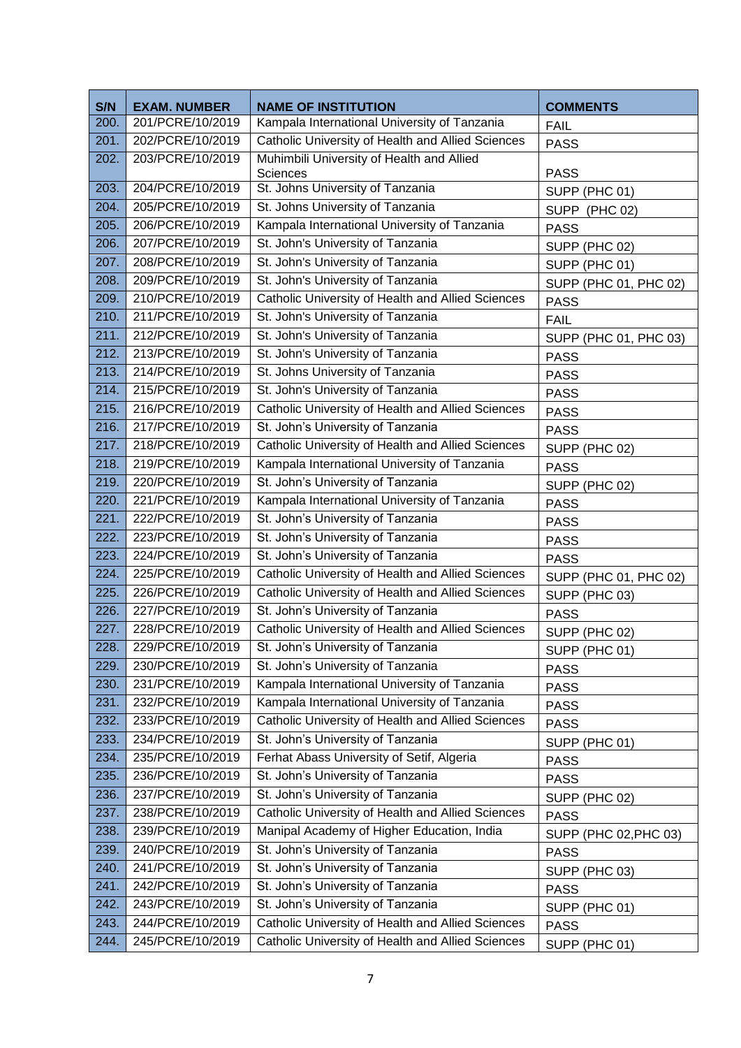| S/N          | <b>EXAM. NUMBER</b>                  | <b>NAME OF INSTITUTION</b>                                                                                     | <b>COMMENTS</b>              |
|--------------|--------------------------------------|----------------------------------------------------------------------------------------------------------------|------------------------------|
| 200.         | 201/PCRE/10/2019                     | Kampala International University of Tanzania                                                                   | <b>FAIL</b>                  |
| 201.         | 202/PCRE/10/2019                     | Catholic University of Health and Allied Sciences                                                              | <b>PASS</b>                  |
| 202.         | 203/PCRE/10/2019                     | Muhimbili University of Health and Allied                                                                      |                              |
| 203.         | 204/PCRE/10/2019                     | Sciences<br>St. Johns University of Tanzania                                                                   | <b>PASS</b>                  |
| 204.         | 205/PCRE/10/2019                     | St. Johns University of Tanzania                                                                               | SUPP (PHC 01)                |
| 205.         | 206/PCRE/10/2019                     | Kampala International University of Tanzania                                                                   | SUPP (PHC 02)<br><b>PASS</b> |
| 206.         | 207/PCRE/10/2019                     | St. John's University of Tanzania                                                                              | SUPP (PHC 02)                |
| 207.         | 208/PCRE/10/2019                     | St. John's University of Tanzania                                                                              | SUPP (PHC 01)                |
| 208.         | 209/PCRE/10/2019                     | St. John's University of Tanzania                                                                              | SUPP (PHC 01, PHC 02)        |
| 209.         | 210/PCRE/10/2019                     | Catholic University of Health and Allied Sciences                                                              | <b>PASS</b>                  |
| 210.         | 211/PCRE/10/2019                     | St. John's University of Tanzania                                                                              | <b>FAIL</b>                  |
| 211.         | 212/PCRE/10/2019                     | St. John's University of Tanzania                                                                              | SUPP (PHC 01, PHC 03)        |
| 212.         | 213/PCRE/10/2019                     | St. John's University of Tanzania                                                                              | <b>PASS</b>                  |
| 213.         | 214/PCRE/10/2019                     | St. Johns University of Tanzania                                                                               | <b>PASS</b>                  |
| 214.         | 215/PCRE/10/2019                     | St. John's University of Tanzania                                                                              | <b>PASS</b>                  |
| 215.         | 216/PCRE/10/2019                     | Catholic University of Health and Allied Sciences                                                              | <b>PASS</b>                  |
| 216.         | 217/PCRE/10/2019                     | St. John's University of Tanzania                                                                              | <b>PASS</b>                  |
| 217.         | 218/PCRE/10/2019                     | Catholic University of Health and Allied Sciences                                                              | SUPP (PHC 02)                |
| 218.         | 219/PCRE/10/2019                     | Kampala International University of Tanzania                                                                   | <b>PASS</b>                  |
| 219.         | 220/PCRE/10/2019                     | St. John's University of Tanzania                                                                              | SUPP (PHC 02)                |
| 220.         | 221/PCRE/10/2019                     | Kampala International University of Tanzania                                                                   | <b>PASS</b>                  |
| 221.         | 222/PCRE/10/2019                     | St. John's University of Tanzania                                                                              | <b>PASS</b>                  |
| 222.         | 223/PCRE/10/2019                     | St. John's University of Tanzania                                                                              | <b>PASS</b>                  |
| 223.         | 224/PCRE/10/2019                     | St. John's University of Tanzania                                                                              | <b>PASS</b>                  |
| 224.         | 225/PCRE/10/2019                     | Catholic University of Health and Allied Sciences                                                              | SUPP (PHC 01, PHC 02)        |
| 225.         | 226/PCRE/10/2019                     | Catholic University of Health and Allied Sciences                                                              | SUPP (PHC 03)                |
| 226.         | 227/PCRE/10/2019                     | St. John's University of Tanzania                                                                              | <b>PASS</b>                  |
| 227.         | 228/PCRE/10/2019                     | Catholic University of Health and Allied Sciences                                                              | SUPP (PHC 02)                |
| 228.         | 229/PCRE/10/2019                     | St. John's University of Tanzania                                                                              | SUPP (PHC 01)                |
| 229.         | 230/PCRE/10/2019                     | St. John's University of Tanzania                                                                              | <b>PASS</b>                  |
| 230.         | 231/PCRE/10/2019                     | Kampala International University of Tanzania                                                                   | <b>PASS</b>                  |
| 231.         | 232/PCRE/10/2019                     | Kampala International University of Tanzania                                                                   | <b>PASS</b>                  |
| 232.         | 233/PCRE/10/2019                     | Catholic University of Health and Allied Sciences                                                              | <b>PASS</b>                  |
| 233.         | 234/PCRE/10/2019                     | St. John's University of Tanzania                                                                              | SUPP (PHC 01)                |
| 234.<br>235. | 235/PCRE/10/2019<br>236/PCRE/10/2019 | Ferhat Abass University of Setif, Algeria<br>St. John's University of Tanzania                                 | <b>PASS</b>                  |
| 236.         | 237/PCRE/10/2019                     | St. John's University of Tanzania                                                                              | <b>PASS</b>                  |
| 237.         | 238/PCRE/10/2019                     |                                                                                                                | SUPP (PHC 02)                |
| 238.         | 239/PCRE/10/2019                     | Catholic University of Health and Allied Sciences<br><b>PASS</b><br>Manipal Academy of Higher Education, India |                              |
| 239.         | 240/PCRE/10/2019                     | St. John's University of Tanzania                                                                              | SUPP (PHC 02, PHC 03)        |
| 240.         | 241/PCRE/10/2019                     | St. John's University of Tanzania                                                                              | <b>PASS</b>                  |
| 241.         | 242/PCRE/10/2019                     | St. John's University of Tanzania                                                                              | SUPP (PHC 03)                |
| 242.         | 243/PCRE/10/2019                     | St. John's University of Tanzania                                                                              | <b>PASS</b><br>SUPP (PHC 01) |
| 243.         | 244/PCRE/10/2019                     | Catholic University of Health and Allied Sciences                                                              | <b>PASS</b>                  |
| 244.         | 245/PCRE/10/2019                     | Catholic University of Health and Allied Sciences                                                              | SUPP (PHC 01)                |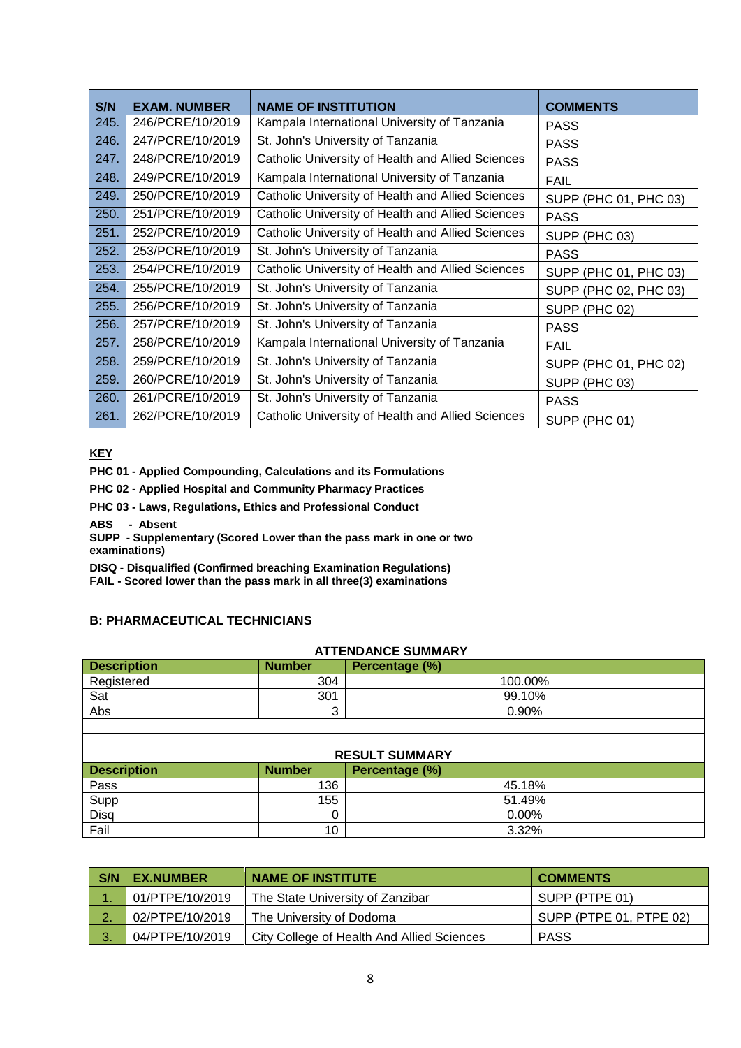| S/N  | <b>EXAM. NUMBER</b> | <b>NAME OF INSTITUTION</b>                        | <b>COMMENTS</b>       |
|------|---------------------|---------------------------------------------------|-----------------------|
| 245. | 246/PCRE/10/2019    | Kampala International University of Tanzania      | <b>PASS</b>           |
| 246. | 247/PCRE/10/2019    | St. John's University of Tanzania                 | <b>PASS</b>           |
| 247. | 248/PCRE/10/2019    | Catholic University of Health and Allied Sciences | <b>PASS</b>           |
| 248. | 249/PCRE/10/2019    | Kampala International University of Tanzania      | <b>FAIL</b>           |
| 249. | 250/PCRE/10/2019    | Catholic University of Health and Allied Sciences | SUPP (PHC 01, PHC 03) |
| 250. | 251/PCRE/10/2019    | Catholic University of Health and Allied Sciences | <b>PASS</b>           |
| 251. | 252/PCRE/10/2019    | Catholic University of Health and Allied Sciences | SUPP (PHC 03)         |
| 252. | 253/PCRE/10/2019    | St. John's University of Tanzania                 | <b>PASS</b>           |
| 253. | 254/PCRE/10/2019    | Catholic University of Health and Allied Sciences | SUPP (PHC 01, PHC 03) |
| 254. | 255/PCRE/10/2019    | St. John's University of Tanzania                 | SUPP (PHC 02, PHC 03) |
| 255. | 256/PCRE/10/2019    | St. John's University of Tanzania                 | SUPP (PHC 02)         |
| 256. | 257/PCRE/10/2019    | St. John's University of Tanzania                 | <b>PASS</b>           |
| 257. | 258/PCRE/10/2019    | Kampala International University of Tanzania      | <b>FAIL</b>           |
| 258. | 259/PCRE/10/2019    | St. John's University of Tanzania                 | SUPP (PHC 01, PHC 02) |
| 259. | 260/PCRE/10/2019    | St. John's University of Tanzania                 | SUPP (PHC 03)         |
| 260. | 261/PCRE/10/2019    | St. John's University of Tanzania                 | <b>PASS</b>           |
| 261. | 262/PCRE/10/2019    | Catholic University of Health and Allied Sciences | SUPP (PHC 01)         |

**KEY**

**PHC 01 - Applied Compounding, Calculations and its Formulations**

**PHC 02 - Applied Hospital and Community Pharmacy Practices**

**PHC 03 - Laws, Regulations, Ethics and Professional Conduct**

**ABS - Absent**

**SUPP - Supplementary (Scored Lower than the pass mark in one or two examinations)**

**DISQ - Disqualified (Confirmed breaching Examination Regulations)**

**FAIL - Scored lower than the pass mark in all three(3) examinations**

## **B: PHARMACEUTICAL TECHNICIANS**

| <b>ATTENDANCE SUMMARY</b>                             |               |                |  |  |
|-------------------------------------------------------|---------------|----------------|--|--|
| <b>Description</b><br><b>Number</b><br>Percentage (%) |               |                |  |  |
| Registered                                            | 304           | 100.00%        |  |  |
| Sat                                                   | 301           | 99.10%         |  |  |
| Abs                                                   | 3             | 0.90%          |  |  |
|                                                       |               |                |  |  |
|                                                       |               |                |  |  |
| <b>RESULT SUMMARY</b>                                 |               |                |  |  |
| <b>Description</b>                                    | <b>Number</b> | Percentage (%) |  |  |
| Pass                                                  | 136           | 45.18%         |  |  |
| Supp                                                  | 155           | 51.49%         |  |  |
| Disq                                                  | 0             | $0.00\%$       |  |  |
| Fail                                                  | 10            | 3.32%          |  |  |

| S/N | <b>EX.NUMBER</b> | <b>NAME OF INSTITUTE</b>                   | <b>COMMENTS</b>         |
|-----|------------------|--------------------------------------------|-------------------------|
|     | 01/PTPE/10/2019  | The State University of Zanzibar           | SUPP (PTPE 01)          |
| റ   | 02/PTPE/10/2019  | The University of Dodoma                   | SUPP (PTPE 01, PTPE 02) |
| 3.  | 04/PTPE/10/2019  | City College of Health And Allied Sciences | <b>PASS</b>             |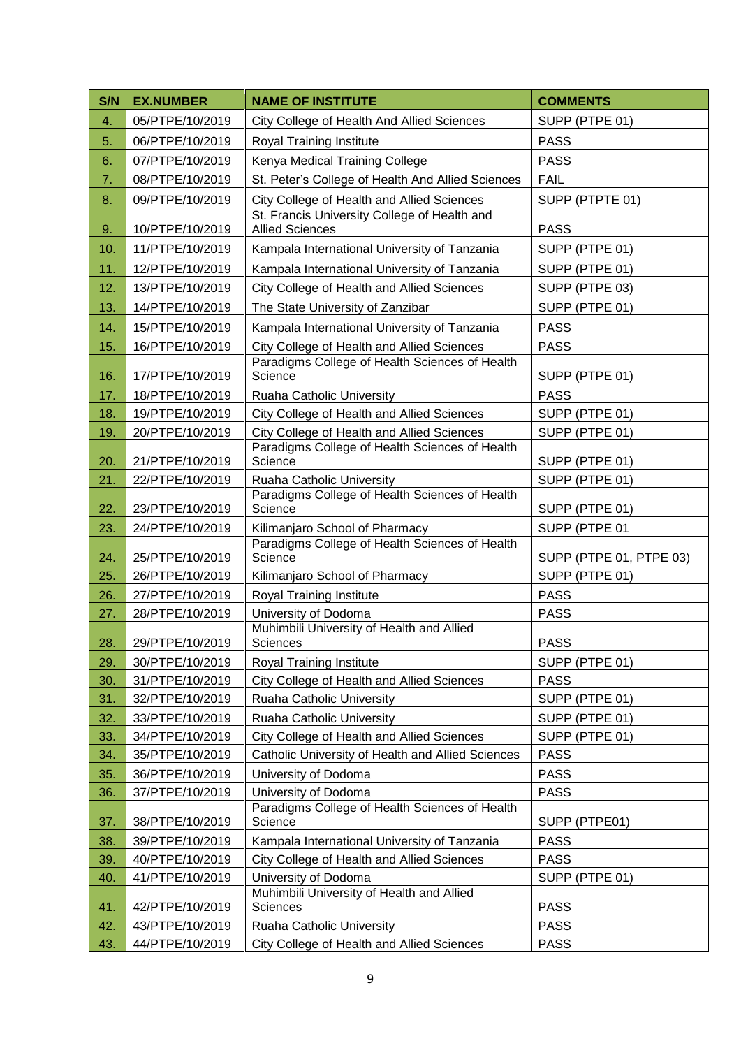| S/N | <b>EX.NUMBER</b> | <b>NAME OF INSTITUTE</b>                                               | <b>COMMENTS</b>         |
|-----|------------------|------------------------------------------------------------------------|-------------------------|
| 4.  | 05/PTPE/10/2019  | City College of Health And Allied Sciences                             | SUPP (PTPE 01)          |
| 5.  | 06/PTPE/10/2019  | Royal Training Institute                                               | <b>PASS</b>             |
| 6.  | 07/PTPE/10/2019  | Kenya Medical Training College                                         | <b>PASS</b>             |
| 7.  | 08/PTPE/10/2019  | St. Peter's College of Health And Allied Sciences                      | <b>FAIL</b>             |
| 8.  | 09/PTPE/10/2019  | City College of Health and Allied Sciences                             | SUPP (PTPTE 01)         |
| 9.  | 10/PTPE/10/2019  | St. Francis University College of Health and<br><b>Allied Sciences</b> | <b>PASS</b>             |
| 10. | 11/PTPE/10/2019  | Kampala International University of Tanzania                           | SUPP (PTPE 01)          |
| 11. | 12/PTPE/10/2019  | Kampala International University of Tanzania                           | SUPP (PTPE 01)          |
| 12. | 13/PTPE/10/2019  | City College of Health and Allied Sciences                             | SUPP (PTPE 03)          |
| 13. | 14/PTPE/10/2019  | The State University of Zanzibar                                       | SUPP (PTPE 01)          |
| 14. | 15/PTPE/10/2019  | Kampala International University of Tanzania                           | <b>PASS</b>             |
| 15. | 16/PTPE/10/2019  | City College of Health and Allied Sciences                             | <b>PASS</b>             |
| 16. | 17/PTPE/10/2019  | Paradigms College of Health Sciences of Health<br>Science              | SUPP (PTPE 01)          |
| 17. | 18/PTPE/10/2019  | Ruaha Catholic University                                              | <b>PASS</b>             |
| 18. | 19/PTPE/10/2019  | City College of Health and Allied Sciences                             | SUPP (PTPE 01)          |
| 19. | 20/PTPE/10/2019  | City College of Health and Allied Sciences                             | SUPP (PTPE 01)          |
| 20. | 21/PTPE/10/2019  | Paradigms College of Health Sciences of Health<br>Science              | SUPP (PTPE 01)          |
| 21. | 22/PTPE/10/2019  | Ruaha Catholic University                                              | SUPP (PTPE 01)          |
| 22. | 23/PTPE/10/2019  | Paradigms College of Health Sciences of Health<br>Science              | SUPP (PTPE 01)          |
| 23. | 24/PTPE/10/2019  | Kilimanjaro School of Pharmacy                                         | SUPP (PTPE 01           |
| 24. | 25/PTPE/10/2019  | Paradigms College of Health Sciences of Health<br>Science              | SUPP (PTPE 01, PTPE 03) |
| 25. | 26/PTPE/10/2019  | Kilimanjaro School of Pharmacy                                         | SUPP (PTPE 01)          |
| 26. | 27/PTPE/10/2019  | Royal Training Institute                                               | <b>PASS</b>             |
| 27. | 28/PTPE/10/2019  | University of Dodoma                                                   | <b>PASS</b>             |
| 28. | 29/PTPE/10/2019  | Muhimbili University of Health and Allied<br>Sciences                  | <b>PASS</b>             |
| 29. | 30/PTPE/10/2019  | Royal Training Institute                                               | SUPP (PTPE 01)          |
| 30. | 31/PTPE/10/2019  | City College of Health and Allied Sciences                             | <b>PASS</b>             |
| 31. | 32/PTPE/10/2019  | Ruaha Catholic University                                              | SUPP (PTPE 01)          |
| 32. | 33/PTPE/10/2019  | Ruaha Catholic University                                              | SUPP (PTPE 01)          |
| 33. | 34/PTPE/10/2019  | City College of Health and Allied Sciences                             | SUPP (PTPE 01)          |
| 34. | 35/PTPE/10/2019  | Catholic University of Health and Allied Sciences                      | <b>PASS</b>             |
| 35. | 36/PTPE/10/2019  | University of Dodoma                                                   | <b>PASS</b>             |
| 36. | 37/PTPE/10/2019  | University of Dodoma                                                   | <b>PASS</b>             |
| 37. | 38/PTPE/10/2019  | Paradigms College of Health Sciences of Health<br>Science              | SUPP (PTPE01)           |
| 38. | 39/PTPE/10/2019  | Kampala International University of Tanzania                           | <b>PASS</b>             |
| 39. | 40/PTPE/10/2019  | City College of Health and Allied Sciences                             | <b>PASS</b>             |
| 40. | 41/PTPE/10/2019  | University of Dodoma                                                   | SUPP (PTPE 01)          |
| 41. | 42/PTPE/10/2019  | Muhimbili University of Health and Allied<br>Sciences                  | <b>PASS</b>             |
| 42. | 43/PTPE/10/2019  | Ruaha Catholic University                                              | <b>PASS</b>             |
| 43. | 44/PTPE/10/2019  | City College of Health and Allied Sciences                             | <b>PASS</b>             |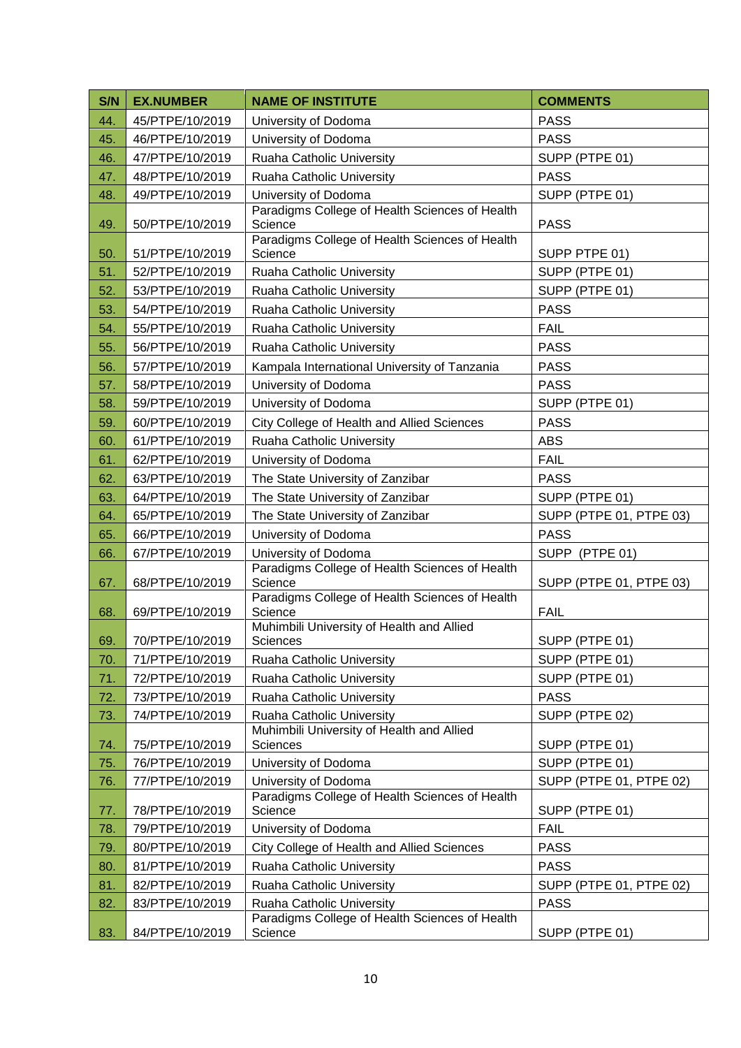| S/N | <b>EX.NUMBER</b> | <b>NAME OF INSTITUTE</b>                                  | <b>COMMENTS</b>         |
|-----|------------------|-----------------------------------------------------------|-------------------------|
| 44. | 45/PTPE/10/2019  | University of Dodoma                                      | <b>PASS</b>             |
| 45. | 46/PTPE/10/2019  | University of Dodoma                                      | <b>PASS</b>             |
| 46. | 47/PTPE/10/2019  | Ruaha Catholic University                                 | SUPP (PTPE 01)          |
| 47. | 48/PTPE/10/2019  | Ruaha Catholic University                                 | <b>PASS</b>             |
| 48. | 49/PTPE/10/2019  | University of Dodoma                                      | SUPP (PTPE 01)          |
| 49. | 50/PTPE/10/2019  | Paradigms College of Health Sciences of Health<br>Science | <b>PASS</b>             |
| 50. | 51/PTPE/10/2019  | Paradigms College of Health Sciences of Health<br>Science | SUPP PTPE 01)           |
| 51. | 52/PTPE/10/2019  | Ruaha Catholic University                                 | SUPP (PTPE 01)          |
| 52. | 53/PTPE/10/2019  | Ruaha Catholic University                                 | SUPP (PTPE 01)          |
| 53. | 54/PTPE/10/2019  | Ruaha Catholic University                                 | <b>PASS</b>             |
| 54. | 55/PTPE/10/2019  | Ruaha Catholic University                                 | <b>FAIL</b>             |
| 55. | 56/PTPE/10/2019  | Ruaha Catholic University                                 | <b>PASS</b>             |
| 56. | 57/PTPE/10/2019  | Kampala International University of Tanzania              | <b>PASS</b>             |
| 57. | 58/PTPE/10/2019  | University of Dodoma                                      | <b>PASS</b>             |
| 58. | 59/PTPE/10/2019  | University of Dodoma                                      | SUPP (PTPE 01)          |
| 59. | 60/PTPE/10/2019  | City College of Health and Allied Sciences                | <b>PASS</b>             |
| 60. | 61/PTPE/10/2019  | Ruaha Catholic University                                 | <b>ABS</b>              |
| 61. | 62/PTPE/10/2019  | University of Dodoma                                      | <b>FAIL</b>             |
| 62. | 63/PTPE/10/2019  | The State University of Zanzibar                          | <b>PASS</b>             |
| 63. | 64/PTPE/10/2019  | The State University of Zanzibar                          | SUPP (PTPE 01)          |
| 64. | 65/PTPE/10/2019  | The State University of Zanzibar                          | SUPP (PTPE 01, PTPE 03) |
| 65. | 66/PTPE/10/2019  | University of Dodoma                                      | <b>PASS</b>             |
| 66. | 67/PTPE/10/2019  | University of Dodoma                                      | SUPP (PTPE 01)          |
| 67. | 68/PTPE/10/2019  | Paradigms College of Health Sciences of Health<br>Science | SUPP (PTPE 01, PTPE 03) |
| 68. | 69/PTPE/10/2019  | Paradigms College of Health Sciences of Health<br>Science | <b>FAIL</b>             |
| 69. | 70/PTPE/10/2019  | Muhimbili University of Health and Allied<br>Sciences     | SUPP (PTPE 01)          |
| 70. | 71/PTPE/10/2019  | Ruaha Catholic University                                 | SUPP (PTPE 01)          |
| 71. | 72/PTPE/10/2019  | Ruaha Catholic University                                 | SUPP (PTPE 01)          |
| 72. | 73/PTPE/10/2019  | Ruaha Catholic University                                 | <b>PASS</b>             |
| 73. | 74/PTPE/10/2019  | Ruaha Catholic University                                 | SUPP (PTPE 02)          |
| 74. | 75/PTPE/10/2019  | Muhimbili University of Health and Allied<br>Sciences     | SUPP (PTPE 01)          |
| 75. | 76/PTPE/10/2019  | University of Dodoma                                      | SUPP (PTPE 01)          |
| 76. | 77/PTPE/10/2019  | University of Dodoma                                      | SUPP (PTPE 01, PTPE 02) |
| 77. | 78/PTPE/10/2019  | Paradigms College of Health Sciences of Health<br>Science | SUPP (PTPE 01)          |
| 78. | 79/PTPE/10/2019  | University of Dodoma                                      | <b>FAIL</b>             |
| 79. | 80/PTPE/10/2019  | City College of Health and Allied Sciences                | <b>PASS</b>             |
| 80. | 81/PTPE/10/2019  | Ruaha Catholic University                                 | <b>PASS</b>             |
| 81. | 82/PTPE/10/2019  | Ruaha Catholic University                                 | SUPP (PTPE 01, PTPE 02) |
| 82. | 83/PTPE/10/2019  | Ruaha Catholic University                                 | <b>PASS</b>             |
| 83. | 84/PTPE/10/2019  | Paradigms College of Health Sciences of Health<br>Science | SUPP (PTPE 01)          |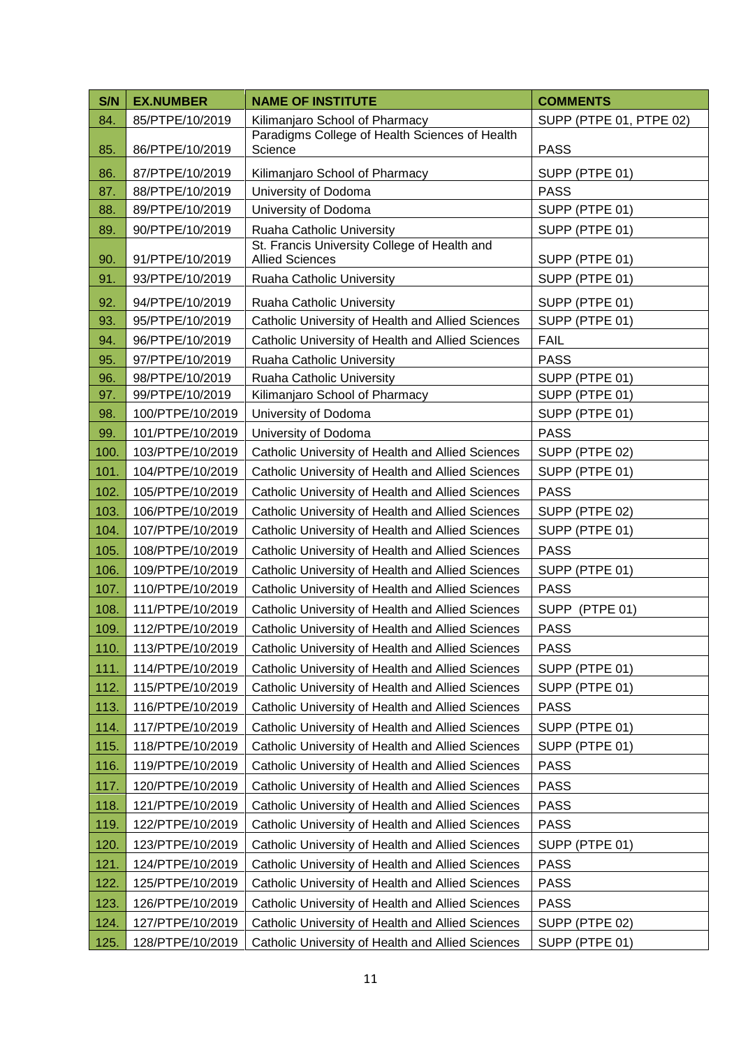| S/N  | <b>EX.NUMBER</b> | <b>NAME OF INSTITUTE</b>                                               | <b>COMMENTS</b>         |
|------|------------------|------------------------------------------------------------------------|-------------------------|
| 84.  | 85/PTPE/10/2019  | Kilimanjaro School of Pharmacy                                         | SUPP (PTPE 01, PTPE 02) |
| 85.  | 86/PTPE/10/2019  | Paradigms College of Health Sciences of Health<br>Science              | <b>PASS</b>             |
| 86.  | 87/PTPE/10/2019  | Kilimanjaro School of Pharmacy                                         | SUPP (PTPE 01)          |
| 87.  | 88/PTPE/10/2019  | University of Dodoma                                                   | <b>PASS</b>             |
| 88.  | 89/PTPE/10/2019  | University of Dodoma                                                   | SUPP (PTPE 01)          |
| 89.  | 90/PTPE/10/2019  | Ruaha Catholic University                                              | SUPP (PTPE 01)          |
| 90.  | 91/PTPE/10/2019  | St. Francis University College of Health and<br><b>Allied Sciences</b> | SUPP (PTPE 01)          |
| 91.  | 93/PTPE/10/2019  | Ruaha Catholic University                                              | SUPP (PTPE 01)          |
| 92.  | 94/PTPE/10/2019  | Ruaha Catholic University                                              | SUPP (PTPE 01)          |
| 93.  | 95/PTPE/10/2019  | Catholic University of Health and Allied Sciences                      | SUPP (PTPE 01)          |
| 94.  | 96/PTPE/10/2019  | Catholic University of Health and Allied Sciences                      | <b>FAIL</b>             |
| 95.  | 97/PTPE/10/2019  | Ruaha Catholic University                                              | <b>PASS</b>             |
| 96.  | 98/PTPE/10/2019  | Ruaha Catholic University                                              | SUPP (PTPE 01)          |
| 97.  | 99/PTPE/10/2019  | Kilimanjaro School of Pharmacy                                         | SUPP (PTPE 01)          |
| 98.  | 100/PTPE/10/2019 | University of Dodoma                                                   | SUPP (PTPE 01)          |
| 99.  | 101/PTPE/10/2019 | University of Dodoma                                                   | <b>PASS</b>             |
| 100. | 103/PTPE/10/2019 | Catholic University of Health and Allied Sciences                      | SUPP (PTPE 02)          |
| 101. | 104/PTPE/10/2019 | Catholic University of Health and Allied Sciences                      | SUPP (PTPE 01)          |
| 102. | 105/PTPE/10/2019 | Catholic University of Health and Allied Sciences                      | <b>PASS</b>             |
| 103. | 106/PTPE/10/2019 | Catholic University of Health and Allied Sciences                      | SUPP (PTPE 02)          |
| 104. | 107/PTPE/10/2019 | Catholic University of Health and Allied Sciences                      | SUPP (PTPE 01)          |
| 105. | 108/PTPE/10/2019 | Catholic University of Health and Allied Sciences                      | <b>PASS</b>             |
| 106. | 109/PTPE/10/2019 | Catholic University of Health and Allied Sciences                      | SUPP (PTPE 01)          |
| 107. | 110/PTPE/10/2019 | Catholic University of Health and Allied Sciences                      | <b>PASS</b>             |
| 108. | 111/PTPE/10/2019 | Catholic University of Health and Allied Sciences                      | SUPP (PTPE 01)          |
| 109. | 112/PTPE/10/2019 | Catholic University of Health and Allied Sciences                      | <b>PASS</b>             |
| 110. | 113/PTPE/10/2019 | Catholic University of Health and Allied Sciences                      | <b>PASS</b>             |
| 111. | 114/PTPE/10/2019 | Catholic University of Health and Allied Sciences                      | SUPP (PTPE 01)          |
| 112. | 115/PTPE/10/2019 | Catholic University of Health and Allied Sciences                      | SUPP (PTPE 01)          |
| 113. | 116/PTPE/10/2019 | Catholic University of Health and Allied Sciences                      | <b>PASS</b>             |
| 114. | 117/PTPE/10/2019 | Catholic University of Health and Allied Sciences                      | SUPP (PTPE 01)          |
| 115. | 118/PTPE/10/2019 | Catholic University of Health and Allied Sciences                      | SUPP (PTPE 01)          |
| 116. | 119/PTPE/10/2019 | Catholic University of Health and Allied Sciences                      | <b>PASS</b>             |
| 117. | 120/PTPE/10/2019 | Catholic University of Health and Allied Sciences                      | <b>PASS</b>             |
| 118. | 121/PTPE/10/2019 | Catholic University of Health and Allied Sciences                      | <b>PASS</b>             |
| 119. | 122/PTPE/10/2019 | Catholic University of Health and Allied Sciences                      | <b>PASS</b>             |
| 120. | 123/PTPE/10/2019 | Catholic University of Health and Allied Sciences                      | SUPP (PTPE 01)          |
| 121. | 124/PTPE/10/2019 | Catholic University of Health and Allied Sciences                      | <b>PASS</b>             |
| 122. | 125/PTPE/10/2019 | Catholic University of Health and Allied Sciences                      | <b>PASS</b>             |
| 123. | 126/PTPE/10/2019 | Catholic University of Health and Allied Sciences                      | <b>PASS</b>             |
| 124. | 127/PTPE/10/2019 | Catholic University of Health and Allied Sciences                      | SUPP (PTPE 02)          |
| 125. | 128/PTPE/10/2019 | Catholic University of Health and Allied Sciences                      | SUPP (PTPE 01)          |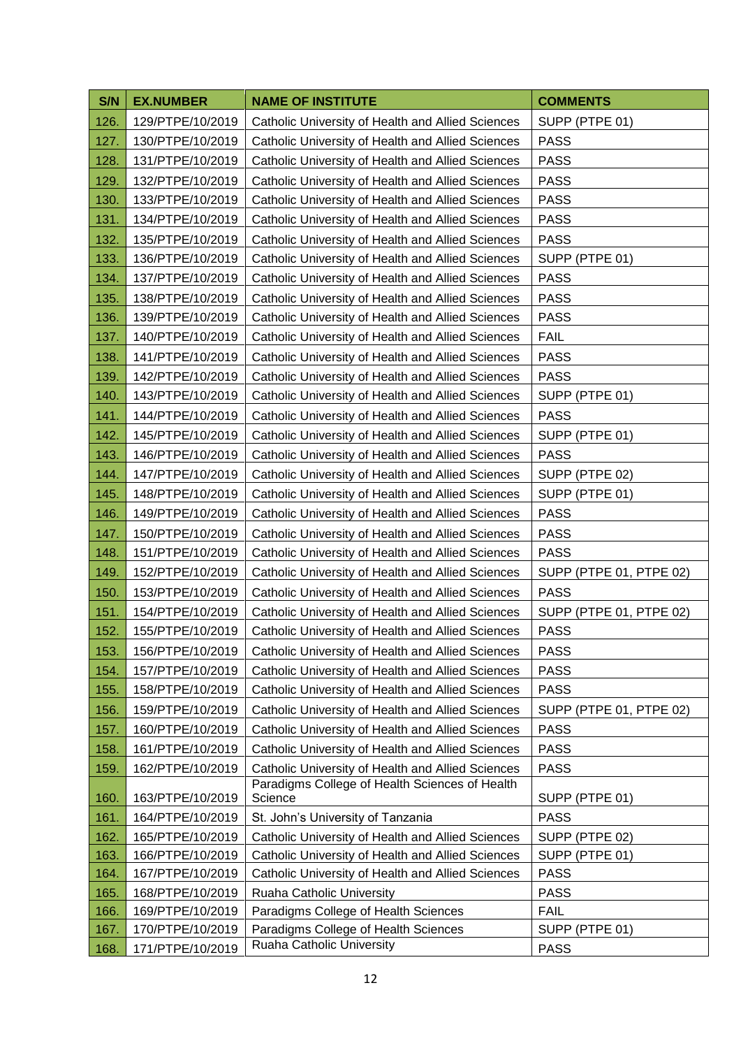| S/N  | <b>EX.NUMBER</b> | <b>NAME OF INSTITUTE</b>                                  | <b>COMMENTS</b>         |
|------|------------------|-----------------------------------------------------------|-------------------------|
| 126. | 129/PTPE/10/2019 | Catholic University of Health and Allied Sciences         | SUPP (PTPE 01)          |
| 127. | 130/PTPE/10/2019 | Catholic University of Health and Allied Sciences         | <b>PASS</b>             |
| 128. | 131/PTPE/10/2019 | Catholic University of Health and Allied Sciences         | <b>PASS</b>             |
| 129. | 132/PTPE/10/2019 | Catholic University of Health and Allied Sciences         | <b>PASS</b>             |
| 130. | 133/PTPE/10/2019 | Catholic University of Health and Allied Sciences         | <b>PASS</b>             |
| 131. | 134/PTPE/10/2019 | Catholic University of Health and Allied Sciences         | <b>PASS</b>             |
| 132. | 135/PTPE/10/2019 | Catholic University of Health and Allied Sciences         | <b>PASS</b>             |
| 133. | 136/PTPE/10/2019 | Catholic University of Health and Allied Sciences         | SUPP (PTPE 01)          |
| 134. | 137/PTPE/10/2019 | Catholic University of Health and Allied Sciences         | <b>PASS</b>             |
| 135. | 138/PTPE/10/2019 | Catholic University of Health and Allied Sciences         | <b>PASS</b>             |
| 136. | 139/PTPE/10/2019 | Catholic University of Health and Allied Sciences         | <b>PASS</b>             |
| 137. | 140/PTPE/10/2019 | Catholic University of Health and Allied Sciences         | <b>FAIL</b>             |
| 138. | 141/PTPE/10/2019 | Catholic University of Health and Allied Sciences         | <b>PASS</b>             |
| 139. | 142/PTPE/10/2019 | Catholic University of Health and Allied Sciences         | <b>PASS</b>             |
| 140. | 143/PTPE/10/2019 | Catholic University of Health and Allied Sciences         | SUPP (PTPE 01)          |
| 141. | 144/PTPE/10/2019 | Catholic University of Health and Allied Sciences         | <b>PASS</b>             |
| 142. | 145/PTPE/10/2019 | Catholic University of Health and Allied Sciences         | SUPP (PTPE 01)          |
| 143. | 146/PTPE/10/2019 | Catholic University of Health and Allied Sciences         | <b>PASS</b>             |
| 144. | 147/PTPE/10/2019 | Catholic University of Health and Allied Sciences         | SUPP (PTPE 02)          |
| 145. | 148/PTPE/10/2019 | Catholic University of Health and Allied Sciences         | SUPP (PTPE 01)          |
| 146. | 149/PTPE/10/2019 | Catholic University of Health and Allied Sciences         | <b>PASS</b>             |
| 147. | 150/PTPE/10/2019 | Catholic University of Health and Allied Sciences         | <b>PASS</b>             |
| 148. | 151/PTPE/10/2019 | Catholic University of Health and Allied Sciences         | <b>PASS</b>             |
| 149. | 152/PTPE/10/2019 | Catholic University of Health and Allied Sciences         | SUPP (PTPE 01, PTPE 02) |
| 150. | 153/PTPE/10/2019 | Catholic University of Health and Allied Sciences         | <b>PASS</b>             |
| 151. | 154/PTPE/10/2019 | Catholic University of Health and Allied Sciences         | SUPP (PTPE 01, PTPE 02) |
| 152. | 155/PTPE/10/2019 | Catholic University of Health and Allied Sciences         | <b>PASS</b>             |
| 153. | 156/PTPE/10/2019 | Catholic University of Health and Allied Sciences         | <b>PASS</b>             |
| 154. | 157/PTPE/10/2019 | Catholic University of Health and Allied Sciences         | <b>PASS</b>             |
| 155. | 158/PTPE/10/2019 | Catholic University of Health and Allied Sciences         | <b>PASS</b>             |
| 156. | 159/PTPE/10/2019 | Catholic University of Health and Allied Sciences         | SUPP (PTPE 01, PTPE 02) |
| 157. | 160/PTPE/10/2019 | Catholic University of Health and Allied Sciences         | <b>PASS</b>             |
| 158. | 161/PTPE/10/2019 | Catholic University of Health and Allied Sciences         | <b>PASS</b>             |
| 159. | 162/PTPE/10/2019 | Catholic University of Health and Allied Sciences         | <b>PASS</b>             |
| 160. | 163/PTPE/10/2019 | Paradigms College of Health Sciences of Health<br>Science | SUPP (PTPE 01)          |
| 161. | 164/PTPE/10/2019 | St. John's University of Tanzania                         | <b>PASS</b>             |
| 162. | 165/PTPE/10/2019 | Catholic University of Health and Allied Sciences         | SUPP (PTPE 02)          |
| 163. | 166/PTPE/10/2019 | Catholic University of Health and Allied Sciences         | SUPP (PTPE 01)          |
| 164. | 167/PTPE/10/2019 | Catholic University of Health and Allied Sciences         | <b>PASS</b>             |
| 165. | 168/PTPE/10/2019 | Ruaha Catholic University                                 | <b>PASS</b>             |
| 166. | 169/PTPE/10/2019 | Paradigms College of Health Sciences                      | <b>FAIL</b>             |
| 167. | 170/PTPE/10/2019 | Paradigms College of Health Sciences                      | SUPP (PTPE 01)          |
| 168. | 171/PTPE/10/2019 | Ruaha Catholic University                                 | <b>PASS</b>             |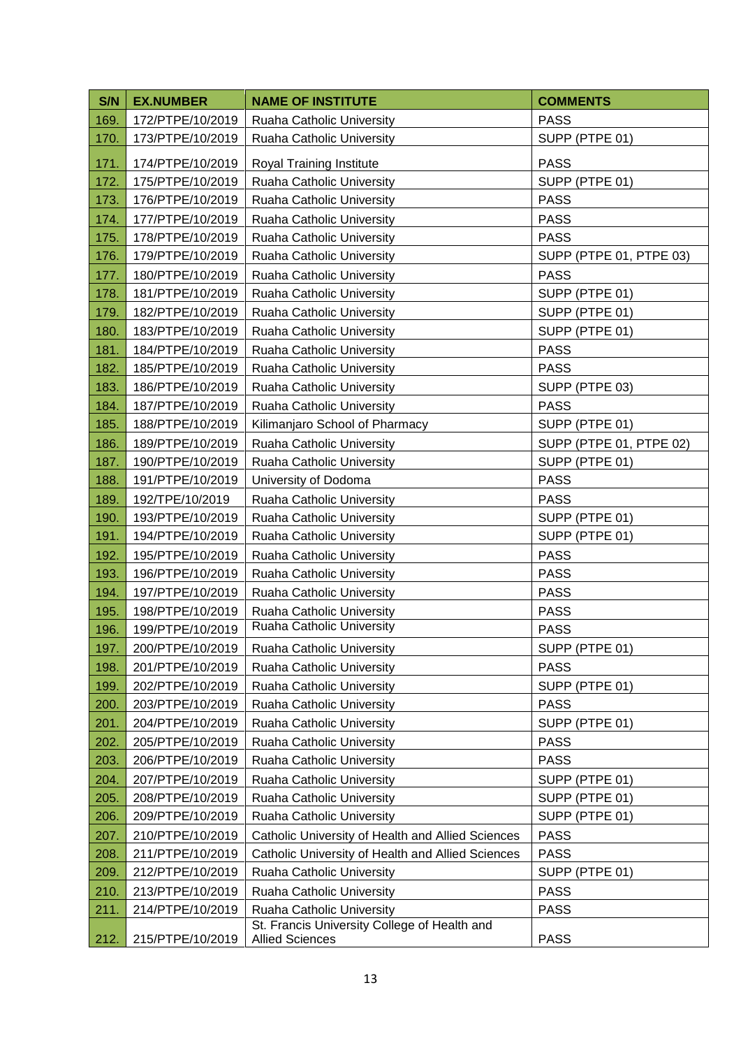| S/N  | <b>EX.NUMBER</b> | <b>NAME OF INSTITUTE</b>                                                  | <b>COMMENTS</b>         |
|------|------------------|---------------------------------------------------------------------------|-------------------------|
| 169. | 172/PTPE/10/2019 | Ruaha Catholic University                                                 | <b>PASS</b>             |
| 170. | 173/PTPE/10/2019 | Ruaha Catholic University                                                 | SUPP (PTPE 01)          |
| 171. | 174/PTPE/10/2019 | Royal Training Institute                                                  | <b>PASS</b>             |
| 172. | 175/PTPE/10/2019 | Ruaha Catholic University                                                 | SUPP (PTPE 01)          |
| 173. | 176/PTPE/10/2019 | Ruaha Catholic University                                                 | <b>PASS</b>             |
| 174. | 177/PTPE/10/2019 | Ruaha Catholic University                                                 | <b>PASS</b>             |
| 175. | 178/PTPE/10/2019 | Ruaha Catholic University                                                 | <b>PASS</b>             |
| 176. | 179/PTPE/10/2019 | Ruaha Catholic University                                                 | SUPP (PTPE 01, PTPE 03) |
| 177. | 180/PTPE/10/2019 | Ruaha Catholic University                                                 | <b>PASS</b>             |
| 178. | 181/PTPE/10/2019 | Ruaha Catholic University                                                 | SUPP (PTPE 01)          |
| 179. | 182/PTPE/10/2019 | Ruaha Catholic University                                                 | SUPP (PTPE 01)          |
| 180. | 183/PTPE/10/2019 | Ruaha Catholic University                                                 | SUPP (PTPE 01)          |
| 181. | 184/PTPE/10/2019 | Ruaha Catholic University                                                 | <b>PASS</b>             |
| 182. | 185/PTPE/10/2019 | Ruaha Catholic University                                                 | <b>PASS</b>             |
| 183. | 186/PTPE/10/2019 | Ruaha Catholic University                                                 | SUPP (PTPE 03)          |
| 184. | 187/PTPE/10/2019 | Ruaha Catholic University                                                 | <b>PASS</b>             |
| 185. | 188/PTPE/10/2019 | Kilimanjaro School of Pharmacy                                            | SUPP (PTPE 01)          |
| 186. | 189/PTPE/10/2019 | Ruaha Catholic University                                                 | SUPP (PTPE 01, PTPE 02) |
| 187. | 190/PTPE/10/2019 | Ruaha Catholic University                                                 | SUPP (PTPE 01)          |
| 188. | 191/PTPE/10/2019 | University of Dodoma                                                      | <b>PASS</b>             |
| 189. | 192/TPE/10/2019  | Ruaha Catholic University                                                 | <b>PASS</b>             |
| 190. | 193/PTPE/10/2019 | Ruaha Catholic University                                                 | SUPP (PTPE 01)          |
| 191. | 194/PTPE/10/2019 | Ruaha Catholic University                                                 | SUPP (PTPE 01)          |
| 192. | 195/PTPE/10/2019 | Ruaha Catholic University                                                 | <b>PASS</b>             |
| 193. | 196/PTPE/10/2019 | Ruaha Catholic University                                                 | <b>PASS</b>             |
| 194. | 197/PTPE/10/2019 | Ruaha Catholic University                                                 | <b>PASS</b>             |
| 195. | 198/PTPE/10/2019 | Ruaha Catholic University                                                 | <b>PASS</b>             |
| 196. | 199/PTPE/10/2019 | Ruaha Catholic University                                                 | <b>PASS</b>             |
| 197. | 200/PTPE/10/2019 | Ruaha Catholic University                                                 | SUPP (PTPE 01)          |
| 198. | 201/PTPE/10/2019 | Ruaha Catholic University                                                 | <b>PASS</b>             |
| 199. | 202/PTPE/10/2019 | Ruaha Catholic University                                                 | SUPP (PTPE 01)          |
| 200. | 203/PTPE/10/2019 | Ruaha Catholic University                                                 | <b>PASS</b>             |
| 201. | 204/PTPE/10/2019 | Ruaha Catholic University                                                 | SUPP (PTPE 01)          |
| 202. | 205/PTPE/10/2019 | Ruaha Catholic University                                                 | <b>PASS</b>             |
| 203. | 206/PTPE/10/2019 | Ruaha Catholic University                                                 | <b>PASS</b>             |
| 204. | 207/PTPE/10/2019 | Ruaha Catholic University                                                 | SUPP (PTPE 01)          |
| 205. | 208/PTPE/10/2019 | Ruaha Catholic University                                                 | SUPP (PTPE 01)          |
| 206. | 209/PTPE/10/2019 | Ruaha Catholic University                                                 | SUPP (PTPE 01)          |
| 207. | 210/PTPE/10/2019 | Catholic University of Health and Allied Sciences                         | <b>PASS</b>             |
| 208. | 211/PTPE/10/2019 | Catholic University of Health and Allied Sciences                         | <b>PASS</b>             |
| 209. | 212/PTPE/10/2019 | Ruaha Catholic University                                                 | SUPP (PTPE 01)          |
| 210. | 213/PTPE/10/2019 | Ruaha Catholic University                                                 | <b>PASS</b>             |
| 211. | 214/PTPE/10/2019 | Ruaha Catholic University<br>St. Francis University College of Health and | <b>PASS</b>             |
| 212. | 215/PTPE/10/2019 | <b>Allied Sciences</b>                                                    | <b>PASS</b>             |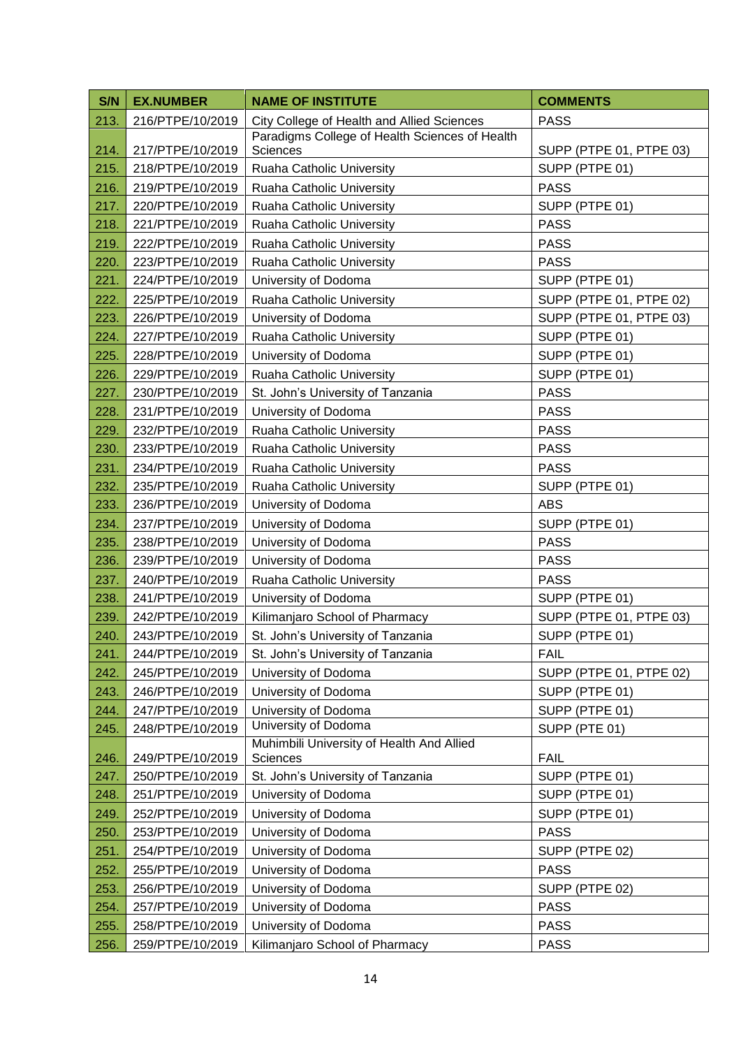| S/N  | <b>EX.NUMBER</b> | <b>NAME OF INSTITUTE</b>                       | <b>COMMENTS</b>         |
|------|------------------|------------------------------------------------|-------------------------|
| 213. | 216/PTPE/10/2019 | City College of Health and Allied Sciences     | <b>PASS</b>             |
|      |                  | Paradigms College of Health Sciences of Health |                         |
| 214. | 217/PTPE/10/2019 | Sciences                                       | SUPP (PTPE 01, PTPE 03) |
| 215. | 218/PTPE/10/2019 | Ruaha Catholic University                      | SUPP (PTPE 01)          |
| 216. | 219/PTPE/10/2019 | Ruaha Catholic University                      | <b>PASS</b>             |
| 217. | 220/PTPE/10/2019 | Ruaha Catholic University                      | SUPP (PTPE 01)          |
| 218. | 221/PTPE/10/2019 | Ruaha Catholic University                      | <b>PASS</b>             |
| 219. | 222/PTPE/10/2019 | Ruaha Catholic University                      | <b>PASS</b>             |
| 220. | 223/PTPE/10/2019 | Ruaha Catholic University                      | <b>PASS</b>             |
| 221. | 224/PTPE/10/2019 | University of Dodoma                           | SUPP (PTPE 01)          |
| 222. | 225/PTPE/10/2019 | Ruaha Catholic University                      | SUPP (PTPE 01, PTPE 02) |
| 223. | 226/PTPE/10/2019 | University of Dodoma                           | SUPP (PTPE 01, PTPE 03) |
| 224. | 227/PTPE/10/2019 | Ruaha Catholic University                      | SUPP (PTPE 01)          |
| 225. | 228/PTPE/10/2019 | University of Dodoma                           | SUPP (PTPE 01)          |
| 226. | 229/PTPE/10/2019 | Ruaha Catholic University                      | SUPP (PTPE 01)          |
| 227. | 230/PTPE/10/2019 | St. John's University of Tanzania              | <b>PASS</b>             |
| 228. | 231/PTPE/10/2019 | University of Dodoma                           | <b>PASS</b>             |
| 229. | 232/PTPE/10/2019 | Ruaha Catholic University                      | <b>PASS</b>             |
| 230. | 233/PTPE/10/2019 | Ruaha Catholic University                      | <b>PASS</b>             |
| 231. | 234/PTPE/10/2019 | Ruaha Catholic University                      | <b>PASS</b>             |
| 232. | 235/PTPE/10/2019 | Ruaha Catholic University                      | SUPP (PTPE 01)          |
| 233. | 236/PTPE/10/2019 | University of Dodoma                           | <b>ABS</b>              |
| 234. | 237/PTPE/10/2019 | University of Dodoma                           | SUPP (PTPE 01)          |
| 235. | 238/PTPE/10/2019 | University of Dodoma                           | <b>PASS</b>             |
| 236. | 239/PTPE/10/2019 | University of Dodoma                           | <b>PASS</b>             |
| 237. | 240/PTPE/10/2019 | Ruaha Catholic University                      | <b>PASS</b>             |
| 238. | 241/PTPE/10/2019 | University of Dodoma                           | SUPP (PTPE 01)          |
| 239. | 242/PTPE/10/2019 | Kilimanjaro School of Pharmacy                 | SUPP (PTPE 01, PTPE 03) |
| 240. | 243/PTPE/10/2019 | St. John's University of Tanzania              | SUPP (PTPE 01)          |
| 241. | 244/PTPE/10/2019 | St. John's University of Tanzania              | <b>FAIL</b>             |
| 242. | 245/PTPE/10/2019 | University of Dodoma                           | SUPP (PTPE 01, PTPE 02) |
| 243. | 246/PTPE/10/2019 | University of Dodoma                           | SUPP (PTPE 01)          |
| 244. | 247/PTPE/10/2019 | University of Dodoma<br>University of Dodoma   | SUPP (PTPE 01)          |
| 245. | 248/PTPE/10/2019 | Muhimbili University of Health And Allied      | SUPP (PTE 01)           |
| 246. | 249/PTPE/10/2019 | Sciences                                       | <b>FAIL</b>             |
| 247. | 250/PTPE/10/2019 | St. John's University of Tanzania              | SUPP (PTPE 01)          |
| 248. | 251/PTPE/10/2019 | University of Dodoma                           | SUPP (PTPE 01)          |
| 249. | 252/PTPE/10/2019 | University of Dodoma                           | SUPP (PTPE 01)          |
| 250. | 253/PTPE/10/2019 | University of Dodoma                           | <b>PASS</b>             |
| 251. | 254/PTPE/10/2019 | University of Dodoma                           | SUPP (PTPE 02)          |
| 252. | 255/PTPE/10/2019 | University of Dodoma                           | <b>PASS</b>             |
| 253. | 256/PTPE/10/2019 | University of Dodoma                           | SUPP (PTPE 02)          |
| 254. | 257/PTPE/10/2019 | University of Dodoma                           | <b>PASS</b>             |
| 255. | 258/PTPE/10/2019 | University of Dodoma                           | <b>PASS</b>             |
| 256. | 259/PTPE/10/2019 | Kilimanjaro School of Pharmacy                 | <b>PASS</b>             |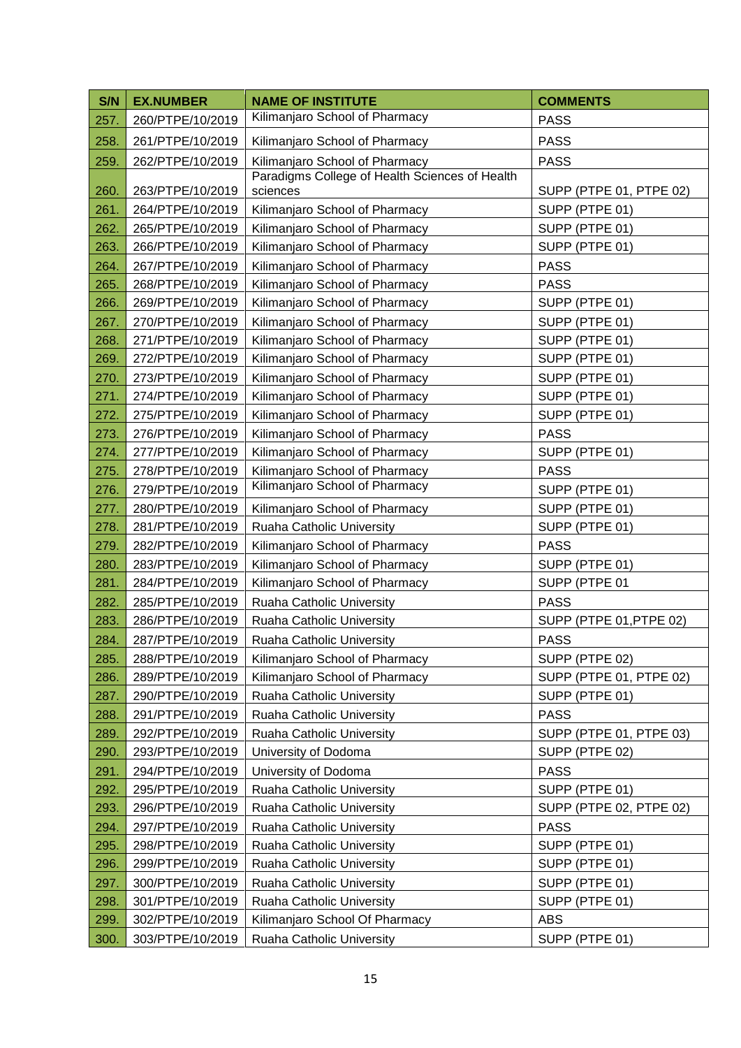| S/N  | <b>EX.NUMBER</b> | <b>NAME OF INSTITUTE</b>                                         | <b>COMMENTS</b>         |
|------|------------------|------------------------------------------------------------------|-------------------------|
| 257. | 260/PTPE/10/2019 | Kilimanjaro School of Pharmacy                                   | <b>PASS</b>             |
| 258. | 261/PTPE/10/2019 | Kilimanjaro School of Pharmacy                                   | <b>PASS</b>             |
| 259. | 262/PTPE/10/2019 | Kilimanjaro School of Pharmacy                                   | <b>PASS</b>             |
|      |                  | Paradigms College of Health Sciences of Health                   |                         |
| 260. | 263/PTPE/10/2019 | sciences                                                         | SUPP (PTPE 01, PTPE 02) |
| 261. | 264/PTPE/10/2019 | Kilimanjaro School of Pharmacy                                   | SUPP (PTPE 01)          |
| 262. | 265/PTPE/10/2019 | Kilimanjaro School of Pharmacy                                   | SUPP (PTPE 01)          |
| 263. | 266/PTPE/10/2019 | Kilimanjaro School of Pharmacy                                   | SUPP (PTPE 01)          |
| 264. | 267/PTPE/10/2019 | Kilimanjaro School of Pharmacy                                   | <b>PASS</b>             |
| 265. | 268/PTPE/10/2019 | Kilimanjaro School of Pharmacy                                   | <b>PASS</b>             |
| 266. | 269/PTPE/10/2019 | Kilimanjaro School of Pharmacy                                   | SUPP (PTPE 01)          |
| 267. | 270/PTPE/10/2019 | Kilimanjaro School of Pharmacy                                   | SUPP (PTPE 01)          |
| 268. | 271/PTPE/10/2019 | Kilimanjaro School of Pharmacy                                   | SUPP (PTPE 01)          |
| 269. | 272/PTPE/10/2019 | Kilimanjaro School of Pharmacy                                   | SUPP (PTPE 01)          |
| 270. | 273/PTPE/10/2019 | Kilimanjaro School of Pharmacy                                   | SUPP (PTPE 01)          |
| 271. | 274/PTPE/10/2019 | Kilimanjaro School of Pharmacy                                   | SUPP (PTPE 01)          |
| 272. | 275/PTPE/10/2019 | Kilimanjaro School of Pharmacy                                   | SUPP (PTPE 01)          |
| 273. | 276/PTPE/10/2019 | Kilimanjaro School of Pharmacy                                   | <b>PASS</b>             |
| 274. | 277/PTPE/10/2019 | Kilimanjaro School of Pharmacy                                   | SUPP (PTPE 01)          |
| 275. | 278/PTPE/10/2019 | Kilimanjaro School of Pharmacy<br>Kilimanjaro School of Pharmacy | <b>PASS</b>             |
| 276. | 279/PTPE/10/2019 |                                                                  | SUPP (PTPE 01)          |
| 277. | 280/PTPE/10/2019 | Kilimanjaro School of Pharmacy                                   | SUPP (PTPE 01)          |
| 278. | 281/PTPE/10/2019 | Ruaha Catholic University                                        | SUPP (PTPE 01)          |
| 279. | 282/PTPE/10/2019 | Kilimanjaro School of Pharmacy                                   | <b>PASS</b>             |
| 280. | 283/PTPE/10/2019 | Kilimanjaro School of Pharmacy                                   | SUPP (PTPE 01)          |
| 281. | 284/PTPE/10/2019 | Kilimanjaro School of Pharmacy                                   | SUPP (PTPE 01           |
| 282. | 285/PTPE/10/2019 | Ruaha Catholic University                                        | <b>PASS</b>             |
| 283. | 286/PTPE/10/2019 | Ruaha Catholic University                                        | SUPP (PTPE 01, PTPE 02) |
| 284. | 287/PTPE/10/2019 | Ruaha Catholic University                                        | <b>PASS</b>             |
| 285. | 288/PTPE/10/2019 | Kilimanjaro School of Pharmacy                                   | SUPP (PTPE 02)          |
| 286. | 289/PTPE/10/2019 | Kilimanjaro School of Pharmacy                                   | SUPP (PTPE 01, PTPE 02) |
| 287. | 290/PTPE/10/2019 | Ruaha Catholic University                                        | SUPP (PTPE 01)          |
| 288. | 291/PTPE/10/2019 | Ruaha Catholic University                                        | <b>PASS</b>             |
| 289. | 292/PTPE/10/2019 | Ruaha Catholic University                                        | SUPP (PTPE 01, PTPE 03) |
| 290. | 293/PTPE/10/2019 | University of Dodoma                                             | SUPP (PTPE 02)          |
| 291. | 294/PTPE/10/2019 | University of Dodoma                                             | <b>PASS</b>             |
| 292. | 295/PTPE/10/2019 | Ruaha Catholic University                                        | SUPP (PTPE 01)          |
| 293. | 296/PTPE/10/2019 | Ruaha Catholic University                                        | SUPP (PTPE 02, PTPE 02) |
| 294. | 297/PTPE/10/2019 | Ruaha Catholic University                                        | <b>PASS</b>             |
| 295. | 298/PTPE/10/2019 | Ruaha Catholic University                                        | SUPP (PTPE 01)          |
| 296. | 299/PTPE/10/2019 | Ruaha Catholic University                                        | SUPP (PTPE 01)          |
| 297. | 300/PTPE/10/2019 | Ruaha Catholic University                                        | SUPP (PTPE 01)          |
| 298. | 301/PTPE/10/2019 | Ruaha Catholic University                                        | SUPP (PTPE 01)          |
| 299. | 302/PTPE/10/2019 | Kilimanjaro School Of Pharmacy                                   | <b>ABS</b>              |
| 300. | 303/PTPE/10/2019 | Ruaha Catholic University                                        | SUPP (PTPE 01)          |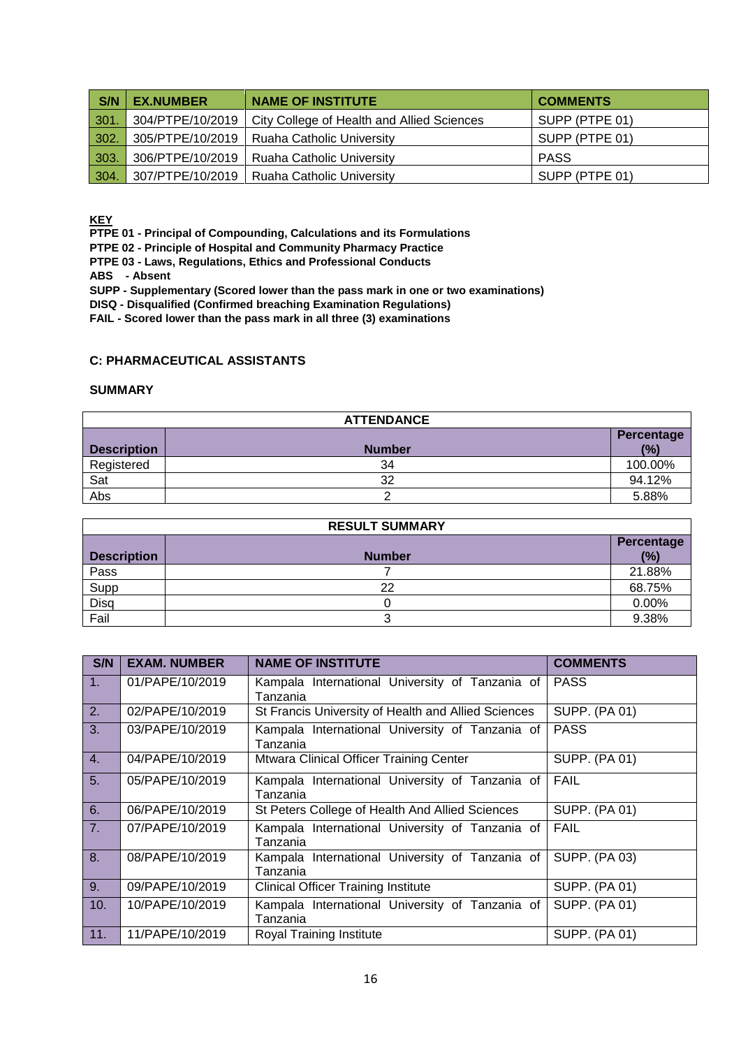| S/N  | <b>EX.NUMBER</b> | <b>NAME OF INSTITUTE</b>                   | <b>COMMENTS</b> |
|------|------------------|--------------------------------------------|-----------------|
| 301. | 304/PTPE/10/2019 | City College of Health and Allied Sciences | SUPP (PTPE 01)  |
| 302. | 305/PTPE/10/2019 | <b>Ruaha Catholic University</b>           | SUPP (PTPE 01)  |
| 303. | 306/PTPE/10/2019 | Ruaha Catholic University                  | PASS            |
| 304. | 307/PTPE/10/2019 | <b>Ruaha Catholic University</b>           | SUPP (PTPE 01)  |

**KEY**

**PTPE 01 - Principal of Compounding, Calculations and its Formulations**

**PTPE 02 - Principle of Hospital and Community Pharmacy Practice**

**PTPE 03 - Laws, Regulations, Ethics and Professional Conducts**

**ABS - Absent**

**SUPP - Supplementary (Scored lower than the pass mark in one or two examinations)** 

**DISQ - Disqualified (Confirmed breaching Examination Regulations)**

**FAIL - Scored lower than the pass mark in all three (3) examinations**

#### **C: PHARMACEUTICAL ASSISTANTS**

#### **SUMMARY**

| <b>ATTENDANCE</b>  |               |            |  |
|--------------------|---------------|------------|--|
|                    |               | Percentage |  |
| <b>Description</b> | <b>Number</b> | (%)        |  |
| Registered         | 34            | 100.00%    |  |
| Sat                | 32            | 94.12%     |  |
| Abs                |               | 5.88%      |  |

| <b>RESULT SUMMARY</b> |               |                   |  |
|-----------------------|---------------|-------------------|--|
| <b>Description</b>    | <b>Number</b> | Percentage<br>(%) |  |
| Pass                  |               | 21.88%            |  |
| Supp                  | 22            | 68.75%            |  |
| Disq                  |               | 0.00%             |  |
| Fail                  |               | 9.38%             |  |

| S/N | <b>EXAM. NUMBER</b> | <b>NAME OF INSTITUTE</b>                                    | <b>COMMENTS</b>      |
|-----|---------------------|-------------------------------------------------------------|----------------------|
| 1.  | 01/PAPE/10/2019     | Kampala International University of Tanzania of<br>Tanzania | <b>PASS</b>          |
| 2.  | 02/PAPE/10/2019     | St Francis University of Health and Allied Sciences         | <b>SUPP. (PA 01)</b> |
| 3.  | 03/PAPE/10/2019     | Kampala International University of Tanzania of<br>Tanzania | <b>PASS</b>          |
| 4.  | 04/PAPE/10/2019     | Mtwara Clinical Officer Training Center                     | <b>SUPP. (PA 01)</b> |
| 5.  | 05/PAPE/10/2019     | Kampala International University of Tanzania of<br>Tanzania | <b>FAIL</b>          |
| 6.  | 06/PAPE/10/2019     | St Peters College of Health And Allied Sciences             | <b>SUPP. (PA 01)</b> |
| 7.  | 07/PAPE/10/2019     | Kampala International University of Tanzania of<br>Tanzania | <b>FAIL</b>          |
| 8.  | 08/PAPE/10/2019     | Kampala International University of Tanzania of<br>Tanzania | <b>SUPP. (PA 03)</b> |
| 9.  | 09/PAPE/10/2019     | <b>Clinical Officer Training Institute</b>                  | <b>SUPP. (PA 01)</b> |
| 10. | 10/PAPE/10/2019     | Kampala International University of Tanzania of<br>Tanzania | <b>SUPP. (PA 01)</b> |
| 11. | 11/PAPE/10/2019     | Royal Training Institute                                    | <b>SUPP. (PA 01)</b> |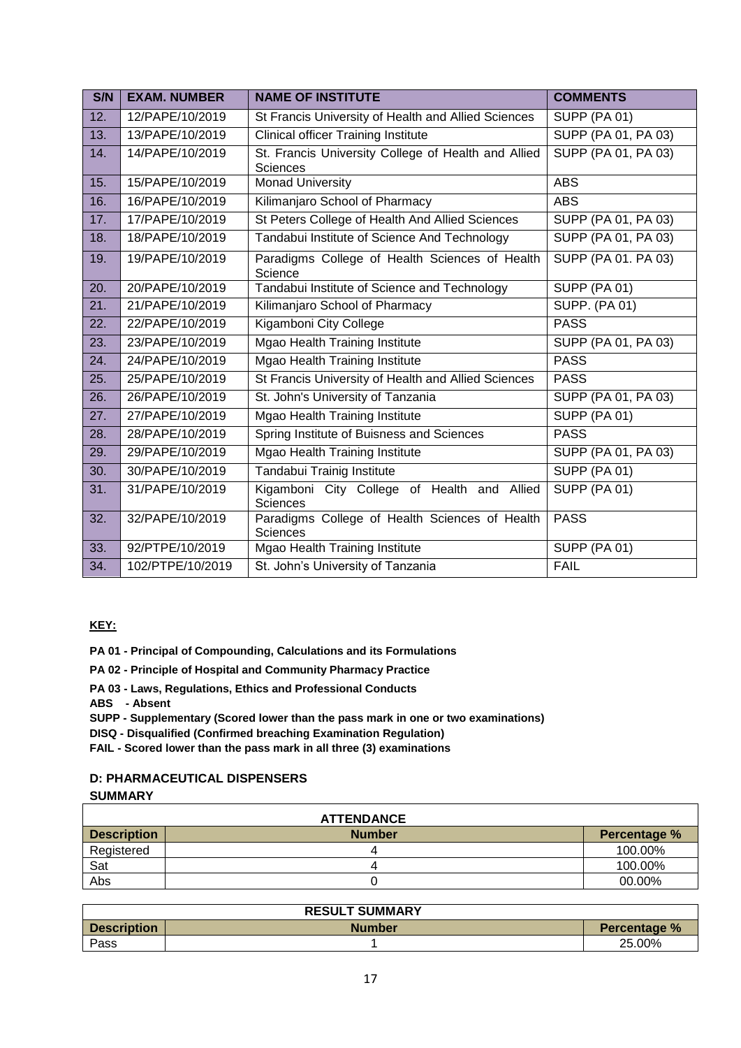| S/N | <b>EXAM. NUMBER</b> | <b>NAME OF INSTITUTE</b>                                               | <b>COMMENTS</b>      |
|-----|---------------------|------------------------------------------------------------------------|----------------------|
| 12. | 12/PAPE/10/2019     | St Francis University of Health and Allied Sciences                    | <b>SUPP (PA 01)</b>  |
| 13. | 13/PAPE/10/2019     | <b>Clinical officer Training Institute</b>                             | SUPP (PA 01, PA 03)  |
| 14. | 14/PAPE/10/2019     | St. Francis University College of Health and Allied<br><b>Sciences</b> | SUPP (PA 01, PA 03)  |
| 15. | 15/PAPE/10/2019     | <b>Monad University</b>                                                | <b>ABS</b>           |
| 16. | 16/PAPE/10/2019     | Kilimanjaro School of Pharmacy                                         | <b>ABS</b>           |
| 17. | 17/PAPE/10/2019     | St Peters College of Health And Allied Sciences                        | SUPP (PA 01, PA 03)  |
| 18. | 18/PAPE/10/2019     | Tandabui Institute of Science And Technology                           | SUPP (PA 01, PA 03)  |
| 19. | 19/PAPE/10/2019     | Paradigms College of Health Sciences of Health<br>Science              | SUPP (PA 01. PA 03)  |
| 20. | 20/PAPE/10/2019     | Tandabui Institute of Science and Technology                           | <b>SUPP (PA 01)</b>  |
| 21. | 21/PAPE/10/2019     | Kilimanjaro School of Pharmacy                                         | <b>SUPP. (PA 01)</b> |
| 22. | 22/PAPE/10/2019     | Kigamboni City College                                                 | <b>PASS</b>          |
| 23. | 23/PAPE/10/2019     | Mgao Health Training Institute                                         | SUPP (PA 01, PA 03)  |
| 24. | 24/PAPE/10/2019     | Mgao Health Training Institute                                         | <b>PASS</b>          |
| 25. | 25/PAPE/10/2019     | St Francis University of Health and Allied Sciences                    | <b>PASS</b>          |
| 26. | 26/PAPE/10/2019     | St. John's University of Tanzania                                      | SUPP (PA 01, PA 03)  |
| 27. | 27/PAPE/10/2019     | <b>Mgao Health Training Institute</b>                                  | <b>SUPP (PA 01)</b>  |
| 28. | 28/PAPE/10/2019     | Spring Institute of Buisness and Sciences                              | <b>PASS</b>          |
| 29. | 29/PAPE/10/2019     | Mgao Health Training Institute                                         | SUPP (PA 01, PA 03)  |
| 30. | 30/PAPE/10/2019     | Tandabui Trainig Institute                                             | <b>SUPP (PA 01)</b>  |
| 31. | 31/PAPE/10/2019     | Kigamboni City College of Health and Allied<br><b>Sciences</b>         | <b>SUPP (PA 01)</b>  |
| 32. | 32/PAPE/10/2019     | Paradigms College of Health Sciences of Health<br>Sciences             | <b>PASS</b>          |
| 33. | 92/PTPE/10/2019     | Mgao Health Training Institute                                         | <b>SUPP (PA 01)</b>  |
| 34. | 102/PTPE/10/2019    | St. John's University of Tanzania                                      | <b>FAIL</b>          |

## **KEY:**

**PA 01 - Principal of Compounding, Calculations and its Formulations**

- **PA 02 - Principle of Hospital and Community Pharmacy Practice**
- **PA 03 - Laws, Regulations, Ethics and Professional Conducts**

**ABS - Absent**

**SUPP - Supplementary (Scored lower than the pass mark in one or two examinations)**

**DISQ - Disqualified (Confirmed breaching Examination Regulation)**

**FAIL - Scored lower than the pass mark in all three (3) examinations**

## **D: PHARMACEUTICAL DISPENSERS SUMMARY**

| <b>ATTENDANCE</b>  |               |              |  |  |
|--------------------|---------------|--------------|--|--|
| <b>Description</b> | <b>Number</b> | Percentage % |  |  |
| Registered         |               | 100.00%      |  |  |
| Sat                |               | 100.00%      |  |  |
| Abs                |               | 00.00%       |  |  |

| <b>RESULT SUMMARY</b> |        |                     |  |  |
|-----------------------|--------|---------------------|--|--|
| <b>Description</b>    | Number | <b>Percentage %</b> |  |  |
| Pass                  |        | 25.00%              |  |  |